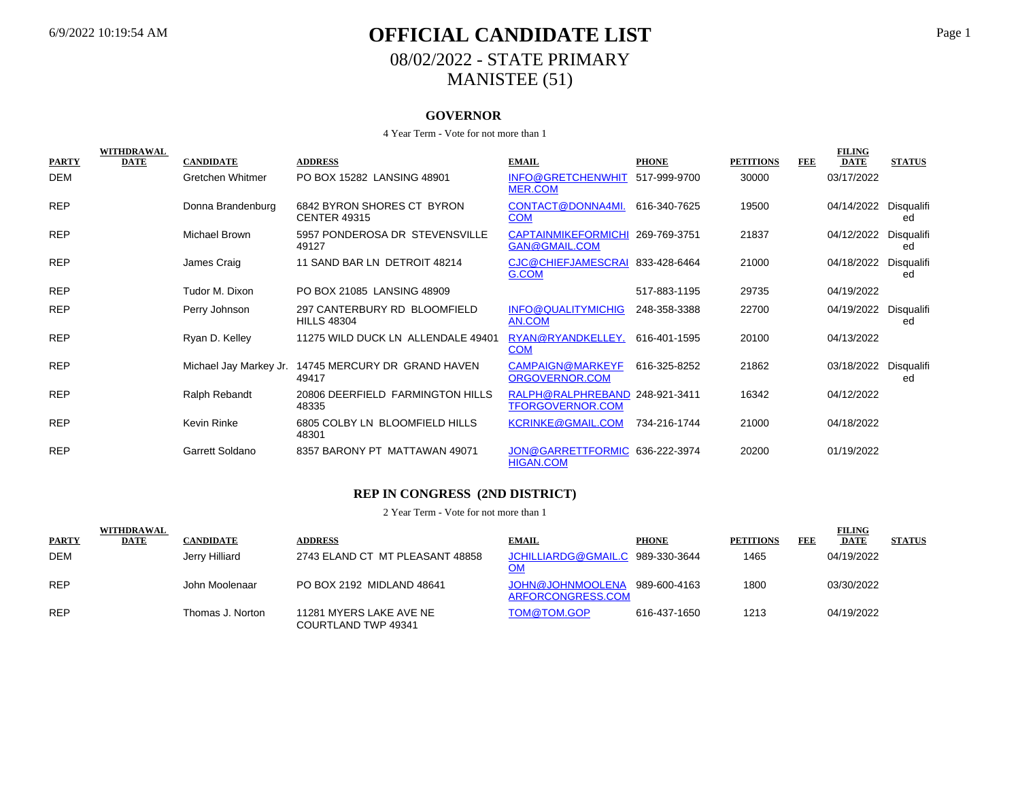## 6/9/2022 10:19:54 AM **OFFICIAL CANDIDATE LIST** Page 1 08/02/2022 - STATE PRIMARY MANISTEE (51)

### **GOVERNOR**

#### 4 Year Term - Vote for not more than 1

| <b>PARTY</b> | WITHDRAWAL<br><b>DATE</b> | <b>CANDIDATE</b>       | <b>ADDRESS</b>                                     | <b>EMAIL</b>                                              | <b>PHONE</b> | <b>PETITIONS</b> | <b>FEE</b> | <b>FILING</b><br><b>DATE</b> | <b>STATUS</b>    |
|--------------|---------------------------|------------------------|----------------------------------------------------|-----------------------------------------------------------|--------------|------------------|------------|------------------------------|------------------|
| DEM          |                           | Gretchen Whitmer       | PO BOX 15282 LANSING 48901                         | INFO@GRETCHENWHIT 517-999-9700<br><b>MER.COM</b>          |              | 30000            |            | 03/17/2022                   |                  |
| <b>REP</b>   |                           | Donna Brandenburg      | 6842 BYRON SHORES CT BYRON<br><b>CENTER 49315</b>  | CONTACT@DONNA4MI.<br><b>COM</b>                           | 616-340-7625 | 19500            |            | 04/14/2022                   | Disqualifi<br>ed |
| <b>REP</b>   |                           | <b>Michael Brown</b>   | 5957 PONDEROSA DR STEVENSVILLE<br>49127            | <b>CAPTAINMIKEFORMICHI</b><br><b>GAN@GMAIL.COM</b>        | 269-769-3751 | 21837            |            | 04/12/2022                   | Disqualifi<br>ed |
| <b>REP</b>   |                           | James Craig            | 11 SAND BAR LN DETROIT 48214                       | CJC@CHIEFJAMESCRAI<br>G.COM                               | 833-428-6464 | 21000            |            | 04/18/2022                   | Disqualifi<br>ed |
| <b>REP</b>   |                           | Tudor M. Dixon         | PO BOX 21085 LANSING 48909                         |                                                           | 517-883-1195 | 29735            |            | 04/19/2022                   |                  |
| <b>REP</b>   |                           | Perry Johnson          | 297 CANTERBURY RD BLOOMFIELD<br><b>HILLS 48304</b> | INFO@QUALITYMICHIG<br>AN.COM                              | 248-358-3388 | 22700            |            | 04/19/2022                   | Disqualifi<br>ed |
| <b>REP</b>   |                           | Ryan D. Kelley         | 11275 WILD DUCK LN ALLENDALE 49401                 | RYAN@RYANDKELLEY.<br><b>COM</b>                           | 616-401-1595 | 20100            |            | 04/13/2022                   |                  |
| <b>REP</b>   |                           | Michael Jay Markey Jr. | 14745 MERCURY DR GRAND HAVEN<br>49417              | CAMPAIGN@MARKEYF<br>ORGOVERNOR.COM                        | 616-325-8252 | 21862            |            | 03/18/2022                   | Disqualifi<br>ed |
| <b>REP</b>   |                           | Ralph Rebandt          | 20806 DEERFIELD FARMINGTON HILLS<br>48335          | RALPH@RALPHREBAND 248-921-3411<br><b>TFORGOVERNOR.COM</b> |              | 16342            |            | 04/12/2022                   |                  |
| <b>REP</b>   |                           | Kevin Rinke            | 6805 COLBY LN BLOOMFIELD HILLS<br>48301            | <b>KCRINKE@GMAIL.COM</b>                                  | 734-216-1744 | 21000            |            | 04/18/2022                   |                  |
| <b>REP</b>   |                           | Garrett Soldano        | 8357 BARONY PT MATTAWAN 49071                      | JON@GARRETTFORMIC 636-222-3974<br><b>HIGAN.COM</b>        |              | 20200            |            | 01/19/2022                   |                  |

### **REP IN CONGRESS (2ND DISTRICT)**

|              | <b>WITHDRAWAL</b> |                  |                                                |                                                    |              |                  |            | <b>FILING</b> |               |
|--------------|-------------------|------------------|------------------------------------------------|----------------------------------------------------|--------------|------------------|------------|---------------|---------------|
| <b>PARTY</b> | DATE              | <b>CANDIDATE</b> | <b>ADDRESS</b>                                 | <b>EMAIL</b>                                       | <b>PHONE</b> | <b>PETITIONS</b> | <b>FEE</b> | <b>DATE</b>   | <b>STATUS</b> |
| <b>DEM</b>   |                   | Jerry Hilliard   | 2743 ELAND CT MT PLEASANT 48858                | JCHILLIARDG@GMAIL.C 989-330-3644<br>OM             |              | 1465             |            | 04/19/2022    |               |
| <b>REP</b>   |                   | John Moolenaar   | PO BOX 2192 MIDLAND 48641                      | JOHN@JOHNMOOLENA 989-600-4163<br>ARFORCONGRESS.COM |              | 1800             |            | 03/30/2022    |               |
| <b>REP</b>   |                   | Thomas J. Norton | 11281 MYERS LAKE AVE NE<br>COURTLAND TWP 49341 | TOM@TOM.GOP                                        | 616-437-1650 | 1213             |            | 04/19/2022    |               |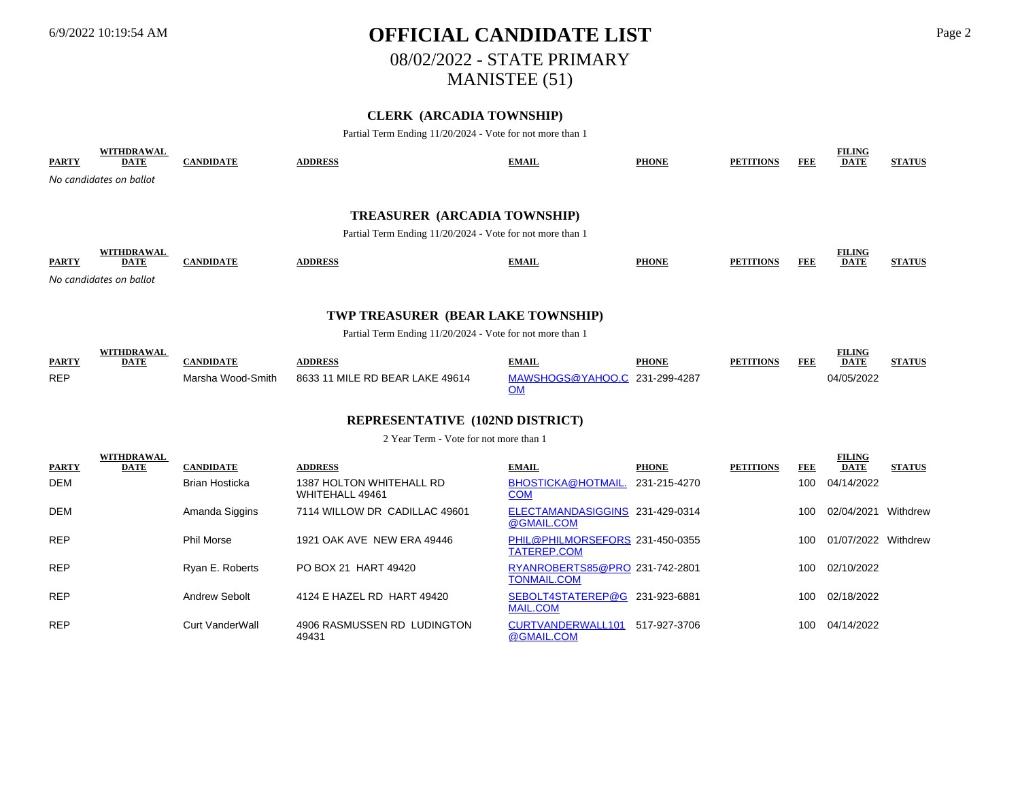WITH **WITH WITH** 

## 6/9/2022 10:19:54 AM **OFFICIAL CANDIDATE LIST** Page 2 08/02/2022 - STATE PRIMARY MANISTEE (51)

## **CLERK (ARCADIA TOWNSHIP)**

Partial Term Ending 11/20/2024 - Vote for not more than 1

| <b>PARTY</b> | WITHDRAWAL<br><b>DATE</b>                                                                        | <b>CANDIDATE</b> | <b>ADDRESS</b> | <b>EMAIL</b> | <b>PHONE</b> | <b>PETITIONS</b> | <b>FEE</b> | <b>FILING</b><br><b>DATE</b> | <b>STATUS</b> |  |  |  |
|--------------|--------------------------------------------------------------------------------------------------|------------------|----------------|--------------|--------------|------------------|------------|------------------------------|---------------|--|--|--|
|              | No candidates on ballot                                                                          |                  |                |              |              |                  |            |                              |               |  |  |  |
|              | <b>TREASURER (ARCADIA TOWNSHIP)</b><br>Partial Term Ending 11/20/2024 - Vote for not more than 1 |                  |                |              |              |                  |            |                              |               |  |  |  |
| <b>PARTY</b> | WITHDRAWAL<br><b>DATE</b><br>No candidates on ballot                                             | <b>CANDIDATE</b> | <b>ADDRESS</b> | <b>EMAIL</b> | <b>PHONE</b> | <b>PETITIONS</b> | <b>FEE</b> | <b>FILING</b><br><b>DATE</b> | <b>STATUS</b> |  |  |  |

### **TWP TREASURER (BEAR LAKE TOWNSHIP)**

Partial Term Ending 11/20/2024 - Vote for not more than 1

|              | WITHDRAWAL |                   |                                 |                               |              |                  |     | <b>FILING</b> |               |
|--------------|------------|-------------------|---------------------------------|-------------------------------|--------------|------------------|-----|---------------|---------------|
| <b>PARTY</b> | DATE       | 'ANDIDATE         | <b>ADDRESS</b>                  | <b>EMAIL</b>                  | <b>PHONE</b> | <b>PETITIONS</b> | FDE | <b>DATE</b>   | <b>STATUS</b> |
| <b>REP</b>   |            | Marsha Wood-Smith | 8633 11 MILE RD BEAR LAKE 49614 | MAWSHOGS@YAHOO.C 231-299-4287 |              |                  |     | 04/05/2022    |               |
|              |            |                   |                                 |                               |              |                  |     |               |               |

### **REPRESENTATIVE (102ND DISTRICT)**

2 Year Term - Vote for not more than 1

|              | WITHDKAWAL  |                        |                                             |                                                      |              |                  |            | FILING              |               |
|--------------|-------------|------------------------|---------------------------------------------|------------------------------------------------------|--------------|------------------|------------|---------------------|---------------|
| <b>PARTY</b> | <b>DATE</b> | <b>CANDIDATE</b>       | <b>ADDRESS</b>                              | <b>EMAIL</b>                                         | <b>PHONE</b> | <b>PETITIONS</b> | <b>FEE</b> | <b>DATE</b>         | <b>STATUS</b> |
| DEM          |             | <b>Brian Hosticka</b>  | 1387 HOLTON WHITEHALL RD<br>WHITEHALL 49461 | <b>BHOSTICKA@HOTMAIL.</b><br><b>COM</b>              | 231-215-4270 |                  | 100        | 04/14/2022          |               |
| DEM          |             | Amanda Siggins         | 7114 WILLOW DR CADILLAC 49601               | ELECTAMANDASIGGINS 231-429-0314<br>@GMAIL.COM        |              |                  | 100        | 02/04/2021          | Withdrew      |
| <b>REP</b>   |             | <b>Phil Morse</b>      | 1921 OAK AVE NEW ERA 49446                  | PHIL@PHILMORSEFORS 231-450-0355<br>TATEREP.COM       |              |                  | 100        | 01/07/2022 Withdrew |               |
| <b>REP</b>   |             | Ryan E. Roberts        | PO BOX 21 HART 49420                        | RYANROBERTS85@PRO 231-742-2801<br><b>TONMAIL.COM</b> |              |                  | 100        | 02/10/2022          |               |
| <b>REP</b>   |             | Andrew Sebolt          | 4124 E HAZEL RD HART 49420                  | SEBOLT4STATEREP@G 231-923-6881<br><b>MAIL.COM</b>    |              |                  | 100        | 02/18/2022          |               |
| <b>REP</b>   |             | <b>Curt VanderWall</b> | 4906 RASMUSSEN RD LUDINGTON<br>49431        | CURTVANDERWALL101<br>@GMAIL.COM                      | 517-927-3706 |                  | 100        | 04/14/2022          |               |

**FILING**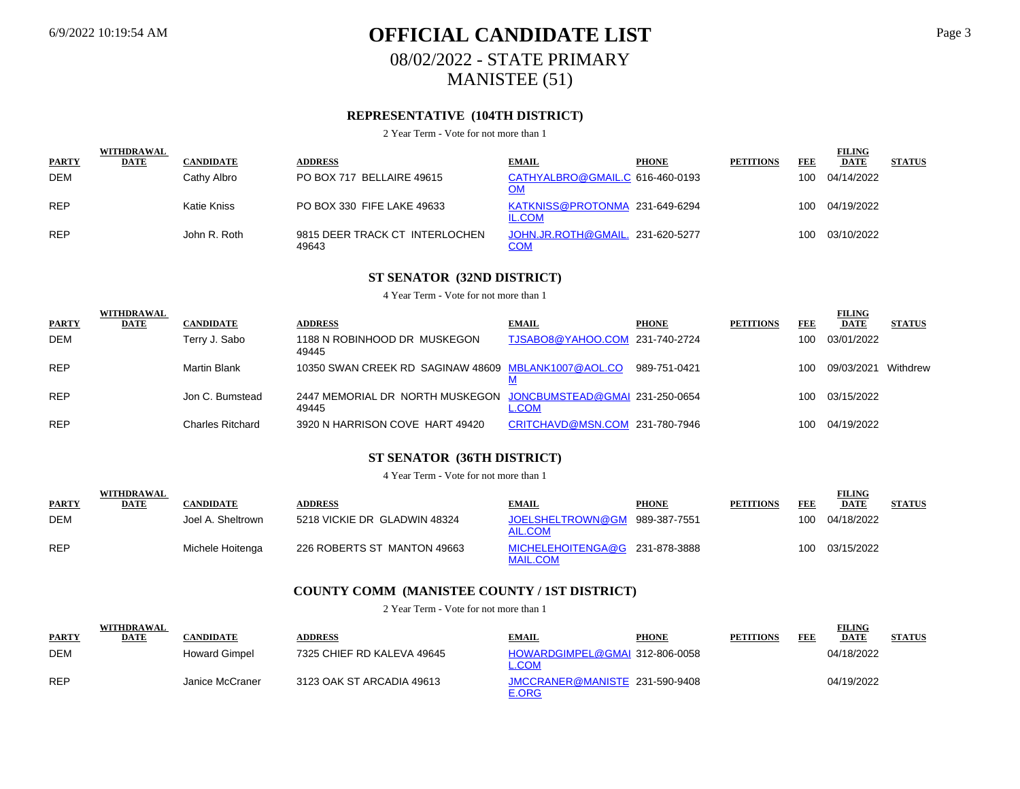## 6/9/2022 10:19:54 AM **OFFICIAL CANDIDATE LIST** Page 3 08/02/2022 - STATE PRIMARY MANISTEE (51)

## **REPRESENTATIVE (104TH DISTRICT)**

2 Year Term - Vote for not more than 1

|              | <b>WITHDRAWAL</b> |                  |                                         |                                                 |              |                  |     | <b>FILING</b>  |               |
|--------------|-------------------|------------------|-----------------------------------------|-------------------------------------------------|--------------|------------------|-----|----------------|---------------|
| <b>PARTY</b> | <b>DATE</b>       | <b>CANDIDATE</b> | <b>ADDRESS</b>                          | <b>EMAIL</b>                                    | <b>PHONE</b> | <b>PETITIONS</b> | FEE | <b>DATE</b>    | <b>STATUS</b> |
| <b>DEM</b>   |                   | Cathy Albro      | PO BOX 717 BELLAIRE 49615               | CATHYALBRO@GMAIL.C 616-460-0193<br>OM           |              |                  | 100 | 04/14/2022     |               |
| <b>REP</b>   |                   | Katie Kniss      | PO BOX 330 FIFE LAKE 49633              | KATKNISS@PROTONMA 231-649-6294<br><b>IL.COM</b> |              |                  |     | 100 04/19/2022 |               |
| <b>REP</b>   |                   | John R. Roth     | 9815 DEER TRACK CT INTERLOCHEN<br>49643 | JOHN.JR.ROTH@GMAIL. 231-620-5277<br>COM         |              |                  | 100 | 03/10/2022     |               |

## **ST SENATOR (32ND DISTRICT)**

4 Year Term - Vote for not more than 1

| <b>PARTY</b> | <b>WITHDRAWAL</b><br><b>DATE</b> | <b>CANDIDATE</b>    | <b>ADDRESS</b>                                                          | <b>EMAIL</b>                   | <b>PHONE</b> | <b>PETITIONS</b> | FEE | <b>FILING</b><br><b>DATE</b> | <b>STATUS</b> |
|--------------|----------------------------------|---------------------|-------------------------------------------------------------------------|--------------------------------|--------------|------------------|-----|------------------------------|---------------|
| <b>DEM</b>   |                                  | Terry J. Sabo       | 1188 N ROBINHOOD DR MUSKEGON<br>49445                                   | TJSABO8@YAHOO.COM 231-740-2724 |              |                  | 100 | 03/01/2022                   |               |
| <b>REP</b>   |                                  | <b>Martin Blank</b> | 10350 SWAN CREEK RD SAGINAW 48609 MBLANK1007@AOL.CO                     |                                | 989-751-0421 |                  | 100 | 09/03/2021                   | Withdrew      |
| <b>REP</b>   |                                  | Jon C. Bumstead     | 2447 MEMORIAL DR NORTH MUSKEGON JONCBUMSTEAD@GMAI 231-250-0654<br>49445 | L.COM                          |              |                  | 100 | 03/15/2022                   |               |
| <b>REP</b>   |                                  | Charles Ritchard    | 3920 N HARRISON COVE HART 49420                                         | CRITCHAVD@MSN.COM 231-780-7946 |              |                  | 100 | 04/19/2022                   |               |

## **ST SENATOR (36TH DISTRICT)**

4 Year Term - Vote for not more than 1

| <b>PARTY</b> | WITHDRAWAL<br><b>DATE</b> | CANDIDATE         | <b>ADDRESS</b>               | <b>EMAIL</b>                                      | <b>PHONE</b> | <b>PETITIONS</b> | <b>FEE</b> | <b>FILING</b><br><b>DATE</b> | <b>STATUS</b> |
|--------------|---------------------------|-------------------|------------------------------|---------------------------------------------------|--------------|------------------|------------|------------------------------|---------------|
| <b>DEM</b>   |                           | Joel A. Sheltrown | 5218 VICKIE DR GLADWIN 48324 | JOELSHELTROWN@GM<br>AIL.COM                       | 989-387-7551 |                  | 100        | 04/18/2022                   |               |
| <b>REP</b>   |                           | Michele Hoitenga  | 226 ROBERTS ST MANTON 49663  | MICHELEHOITENGA@G 231-878-3888<br><b>MAIL.COM</b> |              |                  | 100        | 03/15/2022                   |               |

## **COUNTY COMM (MANISTEE COUNTY / 1ST DISTRICT)**

| <b>PARTY</b> | <b>WITHDRAWAL</b><br>DATE | CANDIDATE            | <b>ADDRESS</b>             | <b>EMAIL</b>                                   | <b>PHONE</b> | <b>PETITIONS</b> | FEE | <b>FILING</b><br><b>DATE</b> | <b>STATUS</b> |
|--------------|---------------------------|----------------------|----------------------------|------------------------------------------------|--------------|------------------|-----|------------------------------|---------------|
| DEM          |                           | <b>Howard Gimpel</b> | 7325 CHIEF RD KALEVA 49645 | HOWARDGIMPEL@GMAI 312-806-0058<br><u>L.COM</u> |              |                  |     | 04/18/2022                   |               |
| <b>REP</b>   |                           | Janice McCraner      | 3123 OAK ST ARCADIA 49613  | JMCCRANER@MANISTE 231-590-9408<br><b>E.ORG</b> |              |                  |     | 04/19/2022                   |               |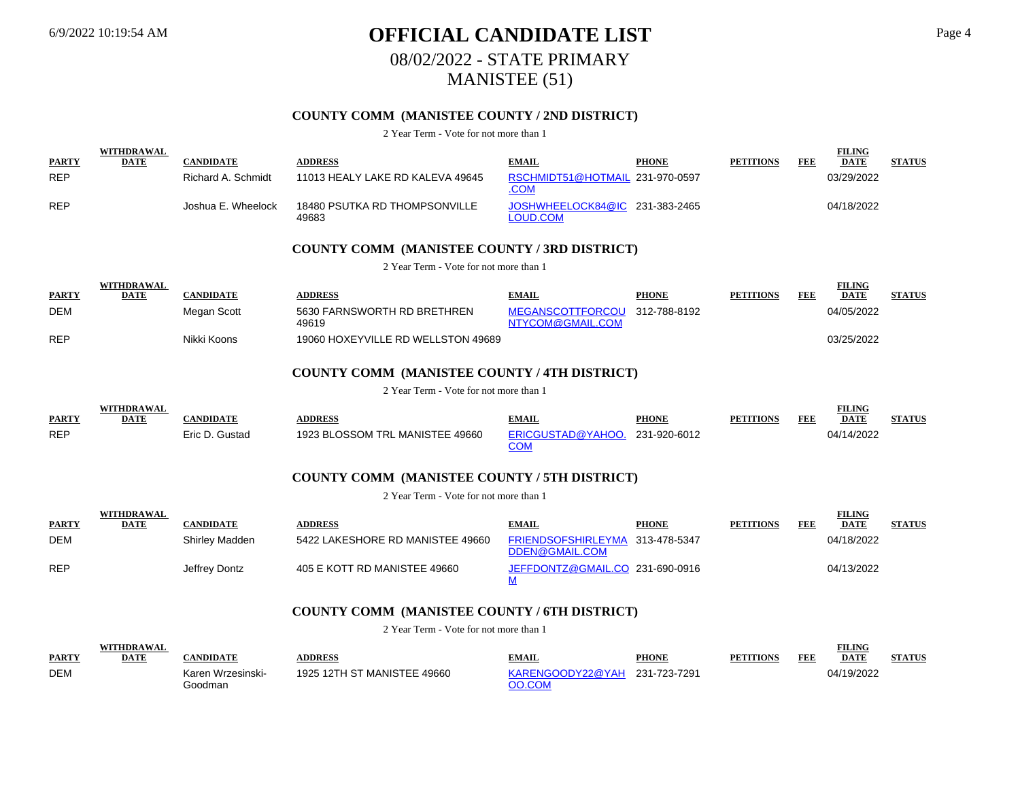## 6/9/2022 10:19:54 AM **OFFICIAL CANDIDATE LIST** Page 4 08/02/2022 - STATE PRIMARY MANISTEE (51)

## **COUNTY COMM (MANISTEE COUNTY / 2ND DISTRICT)**

2 Year Term - Vote for not more than 1

| <b>PARTY</b> | WITHDRAWAL<br><b>DATE</b> | CANDIDATE          | <b>\DDRESS</b>                         | <b>EMAIL</b>                                   | <b>PHONE</b> | <b>PETITIONS</b> | FEE | <b>FILING</b><br><b>DATE</b> | <b>STATUS</b> |
|--------------|---------------------------|--------------------|----------------------------------------|------------------------------------------------|--------------|------------------|-----|------------------------------|---------------|
| <b>REP</b>   |                           | Richard A. Schmidt | 11013 HEALY LAKE RD KALEVA 49645       | RSCHMIDT51@HOTMAIL 231-970-0597<br><u>.COM</u> |              |                  |     | 03/29/2022                   |               |
| <b>REP</b>   |                           | Joshua E. Wheelock | 18480 PSUTKA RD THOMPSONVILLE<br>49683 | JOSHWHEELOCK84@IC 231-383-2465<br>LOUD.COM     |              |                  |     | 04/18/2022                   |               |

### **COUNTY COMM (MANISTEE COUNTY / 3RD DISTRICT)**

2 Year Term - Vote for not more than 1

|              | WITHDRAWAL  |             |                                      |                                                   |              |                  |     | <b>FILING</b> |               |
|--------------|-------------|-------------|--------------------------------------|---------------------------------------------------|--------------|------------------|-----|---------------|---------------|
| <b>PARTY</b> | <b>DATE</b> | CANDIDATE   | <b>ADDRESS</b>                       | <b>EMAIL</b>                                      | <b>PHONE</b> | <b>PETITIONS</b> | FEF | <b>DATE</b>   | <b>STATUS</b> |
| <b>DEM</b>   |             | Megan Scott | 5630 FARNSWORTH RD BRETHREN<br>49619 | MEGANSCOTTFORCOU 312-788-8192<br>NTYCOM@GMAIL.COM |              |                  |     | 04/05/2022    |               |
| <b>REP</b>   |             | Nikki Koons | 19060 HOXEYVILLE RD WELLSTON 49689   |                                                   |              |                  |     | 03/25/2022    |               |

### **COUNTY COMM (MANISTEE COUNTY / 4TH DISTRICT)**

2 Year Term - Vote for not more than 1

|              |             |                 |                                 |                                |              |                  |     | TILING      |               |
|--------------|-------------|-----------------|---------------------------------|--------------------------------|--------------|------------------|-----|-------------|---------------|
| <b>PARTY</b> | <b>DATE</b> | <b>ANDIDATE</b> | <b>DDRESS</b>                   | EMAIL                          | <b>PHONE</b> | <b>PETITIONS</b> | FEE | <b>DATE</b> | <b>STATUS</b> |
| <b>REP</b>   |             | Eric D. Gustad  | 1923 BLOSSOM TRL MANISTEE 49660 | ERICGUSTAD@YAHOO. 231-920-6012 |              |                  |     | )4/14/2022  |               |

## **COUNTY COMM (MANISTEE COUNTY / 5TH DISTRICT)**

2 Year Term - Vote for not more than 1

|              | <b>WITHDRAWAL</b> |                |                                  |                                                   |              |                  |     | <b>FILING</b> |               |
|--------------|-------------------|----------------|----------------------------------|---------------------------------------------------|--------------|------------------|-----|---------------|---------------|
| <b>PARTY</b> | <b>DATE</b>       | CANDIDATE      | <b>ADDRESS</b>                   | <b>EMAIL</b>                                      | <b>PHONE</b> | <b>PETITIONS</b> | FEE | <b>DATE</b>   | <b>STATUS</b> |
| <b>DEM</b>   |                   | Shirley Madden | 5422 LAKESHORE RD MANISTEE 49660 | FRIENDSOFSHIRLEYMA 313-478-5347<br>DDEN@GMAIL.COM |              |                  |     | 04/18/2022    |               |
| <b>REP</b>   |                   | Jeffrey Dontz  | 405 E KOTT RD MANISTEE 49660     | JEFFDONTZ@GMAIL.CO 231-690-0916                   |              |                  |     | 04/13/2022    |               |

### **COUNTY COMM (MANISTEE COUNTY / 6TH DISTRICT)**

|              | WITHDRAWAL  |                              |                             |                                         |              |                  |     | <b>FILING</b> |               |
|--------------|-------------|------------------------------|-----------------------------|-----------------------------------------|--------------|------------------|-----|---------------|---------------|
| <b>PARTY</b> | <b>DATE</b> | <b>EANDIDATE</b>             | <b>ADDRESS</b>              | <b>EMAIL</b>                            | <b>PHONE</b> | <b>PETITIONS</b> | FEE | <b>DATE</b>   | <b>STATUS</b> |
| <b>DEM</b>   |             | Karen Wrzesinski-<br>3oodman | 1925 12TH ST MANISTEE 49660 | KARENGOODY22@YAH 231-723-7291<br>OO.COM |              |                  |     | 04/19/2022    |               |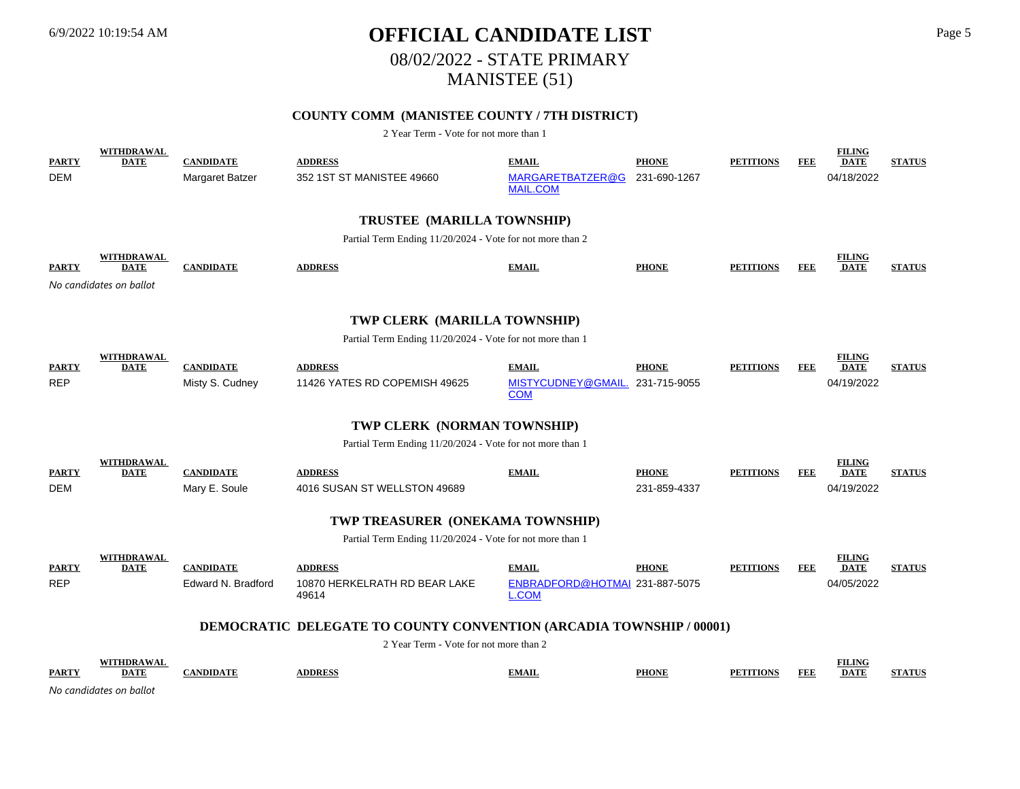## 6/9/2022 10:19:54 AM **OFFICIAL CANDIDATE LIST** Page 5 08/02/2022 - STATE PRIMARY MANISTEE (51)

## **COUNTY COMM (MANISTEE COUNTY / 7TH DISTRICT)**

| <b>PARTY</b> | <b>WITHDRAWAL</b><br><b>DATE</b> | <b>CANDIDATE</b>   | <b>ADDRESS</b>                                                             | <b>EMAIL</b>                                   | <b>PHONE</b> | <b>PETITIONS</b> | FEE        | <b>FILING</b><br><b>DATE</b> | <b>STATUS</b> |
|--------------|----------------------------------|--------------------|----------------------------------------------------------------------------|------------------------------------------------|--------------|------------------|------------|------------------------------|---------------|
| DEM          |                                  | Margaret Batzer    | 352 1ST ST MANISTEE 49660                                                  | MARGARETBATZER@G<br><b>MAIL.COM</b>            | 231-690-1267 |                  |            | 04/18/2022                   |               |
|              |                                  |                    | TRUSTEE (MARILLA TOWNSHIP)                                                 |                                                |              |                  |            |                              |               |
|              |                                  |                    | Partial Term Ending 11/20/2024 - Vote for not more than 2                  |                                                |              |                  |            |                              |               |
| <b>PARTY</b> | <b>WITHDRAWAL</b><br><b>DATE</b> | <b>CANDIDATE</b>   | <b>ADDRESS</b>                                                             | <b>EMAIL</b>                                   | <b>PHONE</b> | <b>PETITIONS</b> | FEE        | <b>FILING</b><br><b>DATE</b> | <b>STATUS</b> |
|              | No candidates on ballot          |                    |                                                                            |                                                |              |                  |            |                              |               |
|              |                                  |                    | TWP CLERK (MARILLA TOWNSHIP)                                               |                                                |              |                  |            |                              |               |
|              |                                  |                    | Partial Term Ending 11/20/2024 - Vote for not more than 1                  |                                                |              |                  |            |                              |               |
| <b>PARTY</b> | WITHDRAWAL<br><b>DATE</b>        | <b>CANDIDATE</b>   | <b>ADDRESS</b>                                                             | <b>EMAIL</b>                                   | <b>PHONE</b> | <b>PETITIONS</b> | FEE        | <b>FILING</b><br><b>DATE</b> | <b>STATUS</b> |
| <b>REP</b>   |                                  | Misty S. Cudney    | 11426 YATES RD COPEMISH 49625                                              | MISTYCUDNEY@GMAIL.<br><b>COM</b>               | 231-715-9055 |                  |            | 04/19/2022                   |               |
|              |                                  |                    | TWP CLERK (NORMAN TOWNSHIP)                                                |                                                |              |                  |            |                              |               |
|              |                                  |                    | Partial Term Ending 11/20/2024 - Vote for not more than 1                  |                                                |              |                  |            |                              |               |
| <b>PARTY</b> | WITHDRAWAL<br><b>DATE</b>        | <b>CANDIDATE</b>   | <b>ADDRESS</b>                                                             | <b>EMAIL</b>                                   | <b>PHONE</b> | <b>PETITIONS</b> | FEE        | <b>FILING</b><br><b>DATE</b> | <b>STATUS</b> |
| <b>DEM</b>   |                                  | Mary E. Soule      | 4016 SUSAN ST WELLSTON 49689                                               |                                                | 231-859-4337 |                  |            | 04/19/2022                   |               |
|              |                                  |                    | TWP TREASURER (ONEKAMA TOWNSHIP)                                           |                                                |              |                  |            |                              |               |
|              |                                  |                    | Partial Term Ending 11/20/2024 - Vote for not more than 1                  |                                                |              |                  |            |                              |               |
| <b>PARTY</b> | WITHDRAWAL<br><b>DATE</b>        | <b>CANDIDATE</b>   | <b>ADDRESS</b>                                                             | <b>EMAIL</b>                                   | <b>PHONE</b> | <b>PETITIONS</b> | FEE        | <b>FILING</b><br><b>DATE</b> | <b>STATUS</b> |
| <b>REP</b>   |                                  | Edward N. Bradford | 10870 HERKELRATH RD BEAR LAKE<br>49614                                     | ENBRADFORD@HOTMAI 231-887-5075<br><b>L.COM</b> |              |                  |            | 04/05/2022                   |               |
|              |                                  |                    | <b>DEMOCRATIC DELEGATE TO COUNTY CONVENTION (ARCADIA TOWNSHIP / 00001)</b> |                                                |              |                  |            |                              |               |
|              |                                  |                    | 2 Year Term - Vote for not more than 2                                     |                                                |              |                  |            |                              |               |
| <b>PARTY</b> | <b>WITHDRAWAL</b><br><b>DATE</b> | <b>CANDIDATE</b>   | <b>ADDRESS</b>                                                             | <b>EMAIL</b>                                   | <b>PHONE</b> | <b>PETITIONS</b> | <b>FEE</b> | <b>FILING</b><br><b>DATE</b> | <b>STATUS</b> |
|              | No candidates on ballot          |                    |                                                                            |                                                |              |                  |            |                              |               |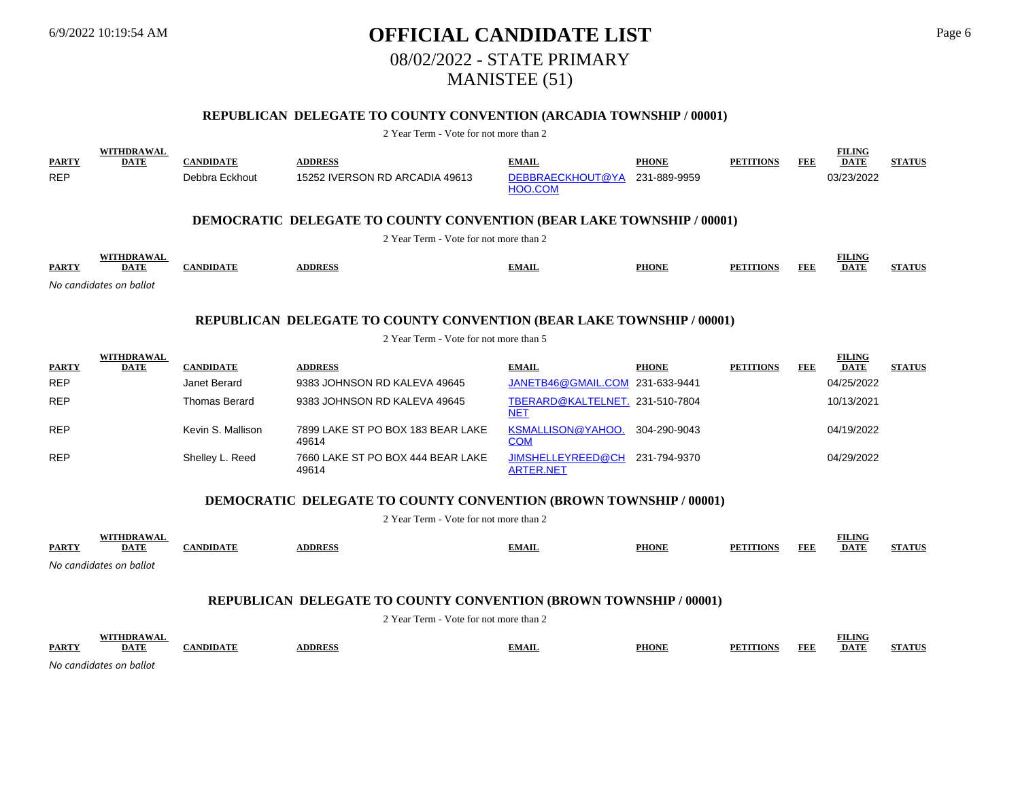## 6/9/2022 10:19:54 AM **OFFICIAL CANDIDATE LIST** Page 6 08/02/2022 - STATE PRIMARY MANISTEE (51)

## **REPUBLICAN DELEGATE TO COUNTY CONVENTION (ARCADIA TOWNSHIP / 00001)**

2 Year Term - Vote for not more than 2

| <b>PARTY</b><br><b>REP</b>                                                                                             | <b>WITHDRAWAL</b><br><b>DATE</b> | <b>CANDIDATE</b><br>Debbra Eckhout | <b>ADDRESS</b><br>15252 IVERSON RD ARCADIA 49613                         | <b>EMAIL</b><br>DEBBRAECKHOUT@YA<br>HOO.COM   | <b>PHONE</b><br>231-889-9959 | <b>PETITIONS</b> | <b>FEE</b> | <b>FILING</b><br><b>DATE</b><br>03/23/2022 | <b>STATUS</b> |  |  |  |
|------------------------------------------------------------------------------------------------------------------------|----------------------------------|------------------------------------|--------------------------------------------------------------------------|-----------------------------------------------|------------------------------|------------------|------------|--------------------------------------------|---------------|--|--|--|
|                                                                                                                        |                                  |                                    | DEMOCRATIC DELEGATE TO COUNTY CONVENTION (BEAR LAKE TOWNSHIP / 00001)    |                                               |                              |                  |            |                                            |               |  |  |  |
|                                                                                                                        |                                  |                                    | 2 Year Term - Vote for not more than 2                                   |                                               |                              |                  |            |                                            |               |  |  |  |
| <b>PARTY</b>                                                                                                           | <b>WITHDRAWAL</b><br><b>DATE</b> | <b>CANDIDATE</b>                   | <b>ADDRESS</b>                                                           | <b>EMAIL</b>                                  | <b>PHONE</b>                 | <b>PETITIONS</b> | <b>FEE</b> | <b>FILING</b><br><b>DATE</b>               | <b>STATUS</b> |  |  |  |
|                                                                                                                        | No candidates on ballot          |                                    |                                                                          |                                               |                              |                  |            |                                            |               |  |  |  |
| <b>REPUBLICAN DELEGATE TO COUNTY CONVENTION (BEAR LAKE TOWNSHIP / 00001)</b><br>2 Year Term - Vote for not more than 5 |                                  |                                    |                                                                          |                                               |                              |                  |            |                                            |               |  |  |  |
| WITHDRAWAL                                                                                                             |                                  |                                    |                                                                          |                                               |                              |                  |            |                                            |               |  |  |  |
|                                                                                                                        |                                  |                                    |                                                                          |                                               |                              |                  |            | <b>FILING</b>                              |               |  |  |  |
| <b>PARTY</b>                                                                                                           | <b>DATE</b>                      | <b>CANDIDATE</b>                   | <b>ADDRESS</b>                                                           | <b>EMAIL</b>                                  | <b>PHONE</b>                 | <b>PETITIONS</b> | <b>FEE</b> | <b>DATE</b>                                | <b>STATUS</b> |  |  |  |
| <b>REP</b>                                                                                                             |                                  | Janet Berard                       | 9383 JOHNSON RD KALEVA 49645                                             | JANETB46@GMAIL.COM                            | 231-633-9441                 |                  |            | 04/25/2022                                 |               |  |  |  |
| <b>REP</b>                                                                                                             |                                  | <b>Thomas Berard</b>               | 9383 JOHNSON RD KALEVA 49645                                             | TBERARD@KALTELNET. 231-510-7804<br><b>NET</b> |                              |                  |            | 10/13/2021                                 |               |  |  |  |
| <b>REP</b>                                                                                                             |                                  | Kevin S. Mallison                  | 7899 LAKE ST PO BOX 183 BEAR LAKE<br>49614                               | <b>KSMALLISON@YAHOO.</b><br><b>COM</b>        | 304-290-9043                 |                  |            | 04/19/2022                                 |               |  |  |  |
| <b>REP</b>                                                                                                             |                                  | Shelley L. Reed                    | 7660 LAKE ST PO BOX 444 BEAR LAKE<br>49614                               | JIMSHELLEYREED@CH<br><b>ARTER.NET</b>         | 231-794-9370                 |                  |            | 04/29/2022                                 |               |  |  |  |
|                                                                                                                        |                                  |                                    | <b>DEMOCRATIC DELEGATE TO COUNTY CONVENTION (BROWN TOWNSHIP / 00001)</b> |                                               |                              |                  |            |                                            |               |  |  |  |
|                                                                                                                        |                                  |                                    | 2 Year Term - Vote for not more than 2                                   |                                               |                              |                  |            |                                            |               |  |  |  |

*No candidates on ballot*

## **REPUBLICAN DELEGATE TO COUNTY CONVENTION (BROWN TOWNSHIP / 00001)**

2 Year Term - Vote for not more than 2

|               | T           |              |     |              |                     | <b>LINE</b>        |  |
|---------------|-------------|--------------|-----|--------------|---------------------|--------------------|--|
| <b>PARTY</b>  | <b>DATT</b> | <b>DDDFC</b> | чап | <b>PHONE</b> | FEE<br><b>TIANG</b> | <b>DATE</b><br>--- |  |
| $\sim$ $\sim$ |             |              |     |              |                     |                    |  |

*No candidates on ballot*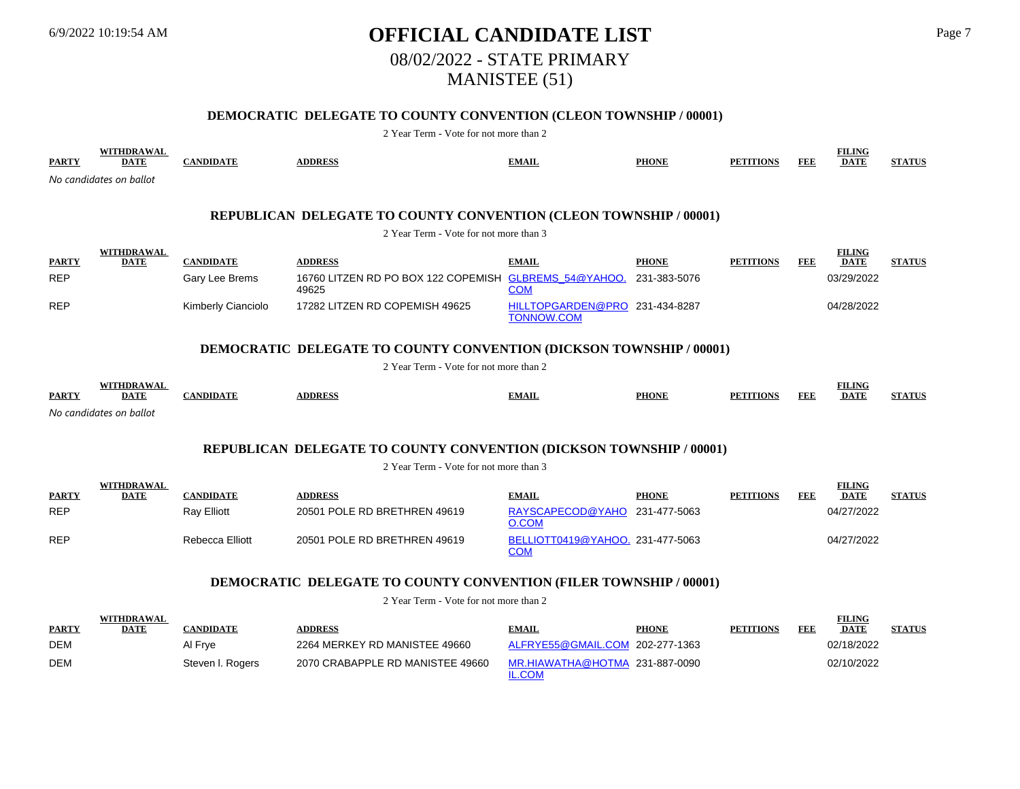## 6/9/2022 10:19:54 AM **OFFICIAL CANDIDATE LIST** Page 7 08/02/2022 - STATE PRIMARY MANISTEE (51)

## **DEMOCRATIC DELEGATE TO COUNTY CONVENTION (CLEON TOWNSHIP / 00001)**

2 Year Term - Vote for not more than 2

| <b>PARTY</b>                                                      | <b>WITHDRAWAL</b><br><b>DATE</b> | <b>CANDIDATE</b>   | <b>ADDRESS</b>                                                             | <b>EMAIL</b>                                        | <b>PHONE</b> | <b>PETITIONS</b> | <b>FEE</b> | <b>FILING</b><br><b>DATE</b> | <b>STATUS</b> |  |  |
|-------------------------------------------------------------------|----------------------------------|--------------------|----------------------------------------------------------------------------|-----------------------------------------------------|--------------|------------------|------------|------------------------------|---------------|--|--|
|                                                                   | No candidates on ballot          |                    |                                                                            |                                                     |              |                  |            |                              |               |  |  |
|                                                                   |                                  |                    |                                                                            |                                                     |              |                  |            |                              |               |  |  |
| REPUBLICAN DELEGATE TO COUNTY CONVENTION (CLEON TOWNSHIP / 00001) |                                  |                    |                                                                            |                                                     |              |                  |            |                              |               |  |  |
| 2 Year Term - Vote for not more than 3                            |                                  |                    |                                                                            |                                                     |              |                  |            |                              |               |  |  |
| <b>PARTY</b>                                                      | <b>WITHDRAWAL</b><br><b>DATE</b> | <b>CANDIDATE</b>   | <b>ADDRESS</b>                                                             | <b>EMAIL</b>                                        | <b>PHONE</b> | <b>PETITIONS</b> | FEE        | <b>FILING</b><br><b>DATE</b> | <b>STATUS</b> |  |  |
| <b>REP</b>                                                        |                                  | Gary Lee Brems     | 16760 LITZEN RD PO BOX 122 COPEMISH GLBREMS 54@YAHOO.<br>49625             | <b>COM</b>                                          | 231-383-5076 |                  |            | 03/29/2022                   |               |  |  |
| <b>REP</b>                                                        |                                  | Kimberly Cianciolo | 17282 LITZEN RD COPEMISH 49625                                             | HILLTOPGARDEN@PRO 231-434-8287<br><b>TONNOW.COM</b> |              |                  |            | 04/28/2022                   |               |  |  |
|                                                                   |                                  |                    | <b>DEMOCRATIC DELEGATE TO COUNTY CONVENTION (DICKSON TOWNSHIP / 00001)</b> |                                                     |              |                  |            |                              |               |  |  |
|                                                                   |                                  |                    | 2 Year Term - Vote for not more than 2                                     |                                                     |              |                  |            |                              |               |  |  |
| <b>PARTY</b>                                                      | WITHDRAWAL<br><b>DATE</b>        | <b>CANDIDATE</b>   | <b>ADDRESS</b>                                                             | <b>EMAIL</b>                                        | <b>PHONE</b> | <b>PETITIONS</b> | FEE        | <b>FILING</b><br><b>DATE</b> | <b>STATUS</b> |  |  |
|                                                                   | No candidates on ballot          |                    |                                                                            |                                                     |              |                  |            |                              |               |  |  |
|                                                                   |                                  |                    | <b>REPUBLICAN DELEGATE TO COUNTY CONVENTION (DICKSON TOWNSHIP / 00001)</b> |                                                     |              |                  |            |                              |               |  |  |
|                                                                   |                                  |                    | 2 Year Term - Vote for not more than 3                                     |                                                     |              |                  |            |                              |               |  |  |

|              | WITHDRAWAL  |                 |                              |                                                |              |                  |     | <b>FILING</b> |               |
|--------------|-------------|-----------------|------------------------------|------------------------------------------------|--------------|------------------|-----|---------------|---------------|
| <b>PARTY</b> | <b>DATE</b> | CANDIDATE       | <b>ADDRESS</b>               | <b>EMAIL</b>                                   | <b>PHONE</b> | <b>PETITIONS</b> | FEE | <b>DATE</b>   | <b>STATUS</b> |
| <b>REP</b>   |             | Ray Elliott     | 20501 POLE RD BRETHREN 49619 | RAYSCAPECOD@YAHO 231-477-5063<br>D.COM         |              |                  |     | 04/27/2022    |               |
| <b>REP</b>   |             | Rebecca Elliott | 20501 POLE RD BRETHREN 49619 | BELLIOTT0419@YAHOO. 231-477-5063<br><u>COM</u> |              |                  |     | 04/27/2022    |               |

## **DEMOCRATIC DELEGATE TO COUNTY CONVENTION (FILER TOWNSHIP / 00001)**

|              | WITHDRAWAL |                  |                                  |                                 |              |                  |     | <b>FILING</b> |               |
|--------------|------------|------------------|----------------------------------|---------------------------------|--------------|------------------|-----|---------------|---------------|
| <b>PARTY</b> | DATE       | CANDIDATE        | <b>ADDRESS</b>                   | <b>EMAIL</b>                    | <b>PHONE</b> | <b>PETITIONS</b> | FEE | <b>DATE</b>   | <b>STATUS</b> |
| DEM          |            | Al Frve          | 2264 MERKEY RD MANISTEE 49660    | ALFRYE55@GMAIL.COM 202-277-1363 |              |                  |     | 02/18/2022    |               |
| DEM          |            | Steven I. Rogers | 2070 CRABAPPLE RD MANISTEE 49660 | MR.HIAWATHA@HOTMA 231-887-0090  |              |                  |     | 02/10/2022    |               |
|              |            |                  |                                  | L.COM                           |              |                  |     |               |               |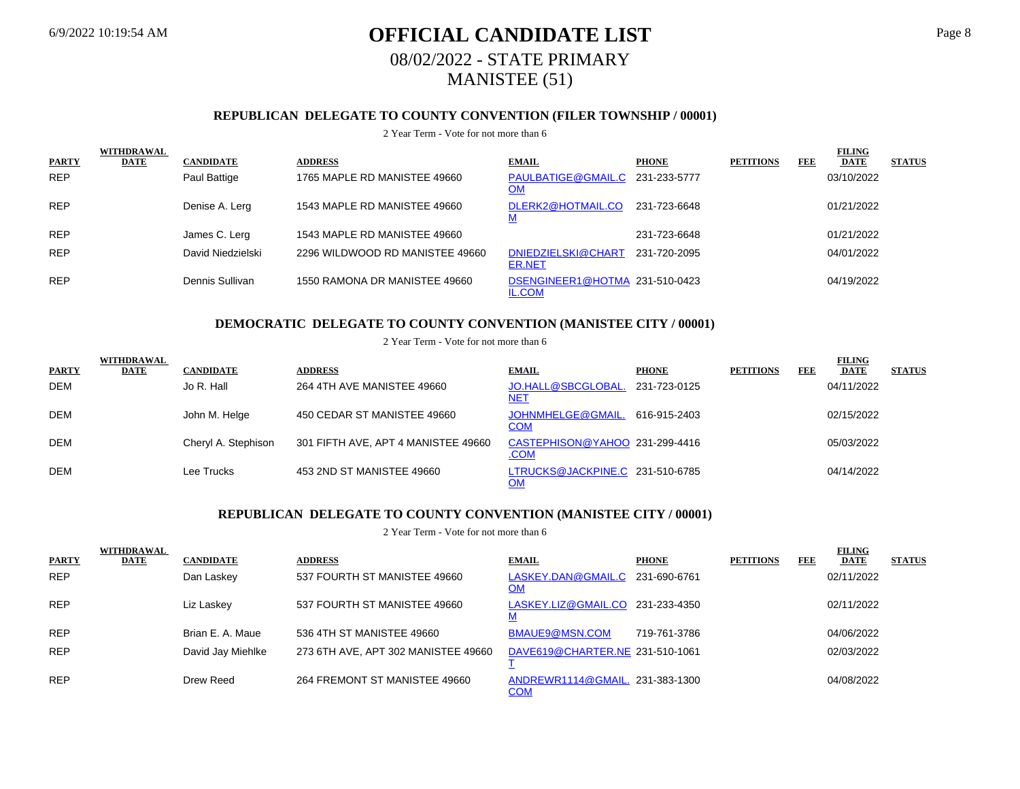## 6/9/2022 10:19:54 AM **OFFICIAL CANDIDATE LIST** Page 8 08/02/2022 - STATE PRIMARY MANISTEE (51)

## **REPUBLICAN DELEGATE TO COUNTY CONVENTION (FILER TOWNSHIP / 00001)**

#### 2 Year Term - Vote for not more than 6

|              | <b>WITHDRAWAL</b> |                   |                                 |                                                 |              |                  |     | <b>FILING</b> |               |
|--------------|-------------------|-------------------|---------------------------------|-------------------------------------------------|--------------|------------------|-----|---------------|---------------|
| <b>PARTY</b> | <b>DATE</b>       | <b>CANDIDATE</b>  | <b>ADDRESS</b>                  | <b>EMAIL</b>                                    | <b>PHONE</b> | <b>PETITIONS</b> | FEE | <b>DATE</b>   | <b>STATUS</b> |
| <b>REP</b>   |                   | Paul Battige      | 1765 MAPLE RD MANISTEE 49660    | PAULBATIGE@GMAIL.C 231-233-5777<br><u>OM</u>    |              |                  |     | 03/10/2022    |               |
| <b>REP</b>   |                   | Denise A. Lerg    | 1543 MAPLE RD MANISTEE 49660    | DLERK2@HOTMAIL.CO<br><u>M</u>                   | 231-723-6648 |                  |     | 01/21/2022    |               |
| <b>REP</b>   |                   | James C. Lerg     | 1543 MAPLE RD MANISTEE 49660    |                                                 | 231-723-6648 |                  |     | 01/21/2022    |               |
| <b>REP</b>   |                   | David Niedzielski | 2296 WILDWOOD RD MANISTEE 49660 | DNIEDZIELSKI@CHART<br><b>ER.NET</b>             | 231-720-2095 |                  |     | 04/01/2022    |               |
| <b>REP</b>   |                   | Dennis Sullivan   | 1550 RAMONA DR MANISTEE 49660   | DSENGINEER1@HOTMA 231-510-0423<br><b>IL.COM</b> |              |                  |     | 04/19/2022    |               |

### **DEMOCRATIC DELEGATE TO COUNTY CONVENTION (MANISTEE CITY / 00001)**

#### 2 Year Term - Vote for not more than 6

|              | <b>WITHDRAWAL</b> |                     |                                     |                                               |              |                  |            | <b>FILING</b> |               |
|--------------|-------------------|---------------------|-------------------------------------|-----------------------------------------------|--------------|------------------|------------|---------------|---------------|
| <b>PARTY</b> | <b>DATE</b>       | <b>CANDIDATE</b>    | <b>ADDRESS</b>                      | <b>EMAIL</b>                                  | <b>PHONE</b> | <b>PETITIONS</b> | <b>FEE</b> | <b>DATE</b>   | <b>STATUS</b> |
| DEM          |                   | Jo R. Hall          | 264 4TH AVE MANISTEE 49660          | JO.HALL@SBCGLOBAL<br><u>NET</u>               | 231-723-0125 |                  |            | 04/11/2022    |               |
| DEM          |                   | John M. Helge       | 450 CEDAR ST MANISTEE 49660         | JOHNMHELGE@GMAIL.<br><u>COM</u>               | 616-915-2403 |                  |            | 02/15/2022    |               |
| DEM          |                   | Cheryl A. Stephison | 301 FIFTH AVE, APT 4 MANISTEE 49660 | CASTEPHISON@YAHOO 231-299-4416<br><u>.COM</u> |              |                  |            | 05/03/2022    |               |
| DEM          |                   | Lee Trucks          | 453 2ND ST MANISTEE 49660           | LTRUCKS@JACKPINE.C 231-510-6785<br>OM         |              |                  |            | 04/14/2022    |               |

## **REPUBLICAN DELEGATE TO COUNTY CONVENTION (MANISTEE CITY / 00001)**

|              | WITHDRAWAL  |                   |                                     |                                               |              |                  |            | <b>FILING</b> |               |
|--------------|-------------|-------------------|-------------------------------------|-----------------------------------------------|--------------|------------------|------------|---------------|---------------|
| <b>PARTY</b> | <b>DATE</b> | <b>CANDIDATE</b>  | <b>ADDRESS</b>                      | <b>EMAIL</b>                                  | <b>PHONE</b> | <b>PETITIONS</b> | <b>FEE</b> | <b>DATE</b>   | <b>STATUS</b> |
| <b>REP</b>   |             | Dan Laskey        | 537 FOURTH ST MANISTEE 49660        | LASKEY.DAN@GMAIL.C 231-690-6761<br>OM         |              |                  |            | 02/11/2022    |               |
| <b>REP</b>   |             | Liz Laskev        | 537 FOURTH ST MANISTEE 49660        | LASKEY.LIZ@GMAIL.CO 231-233-4350              |              |                  |            | 02/11/2022    |               |
| <b>REP</b>   |             | Brian E. A. Maue  | 536 4TH ST MANISTEE 49660           | BMAUE9@MSN.COM                                | 719-761-3786 |                  |            | 04/06/2022    |               |
| <b>REP</b>   |             | David Jay Miehlke | 273 6TH AVE, APT 302 MANISTEE 49660 | DAVE619@CHARTER.NE 231-510-1061               |              |                  |            | 02/03/2022    |               |
| <b>REP</b>   |             | Drew Reed         | 264 FREMONT ST MANISTEE 49660       | ANDREWR1114@GMAIL. 231-383-1300<br><u>COM</u> |              |                  |            | 04/08/2022    |               |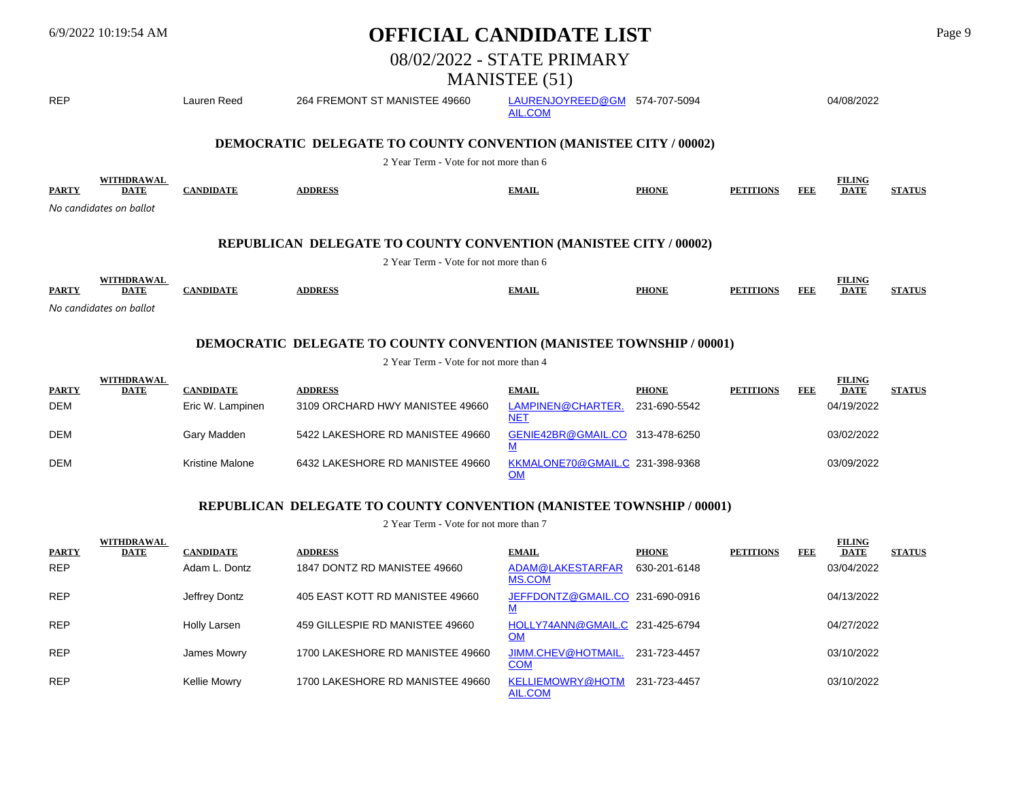| <b>OFFICIAL CANDIDATE LIST</b><br>$6/9/2022$ 10:19:54 AM |                           |                  |                                                                             |                                    | Page 9       |                  |     |                              |               |  |
|----------------------------------------------------------|---------------------------|------------------|-----------------------------------------------------------------------------|------------------------------------|--------------|------------------|-----|------------------------------|---------------|--|
|                                                          |                           |                  |                                                                             | 08/02/2022 - STATE PRIMARY         |              |                  |     |                              |               |  |
|                                                          |                           |                  |                                                                             | <b>MANISTEE</b> (51)               |              |                  |     |                              |               |  |
| <b>REP</b>                                               |                           | Lauren Reed      | 264 FREMONT ST MANISTEE 49660                                               | LAURENJOYREED@GM<br><b>AIL.COM</b> | 574-707-5094 |                  |     | 04/08/2022                   |               |  |
|                                                          |                           |                  | DEMOCRATIC DELEGATE TO COUNTY CONVENTION (MANISTEE CITY / 00002)            |                                    |              |                  |     |                              |               |  |
|                                                          |                           |                  | 2 Year Term - Vote for not more than 6                                      |                                    |              |                  |     |                              |               |  |
| <b>PARTY</b>                                             | WITHDRAWAL<br><b>DATE</b> | <b>CANDIDATE</b> | <b>ADDRESS</b>                                                              | <b>EMAIL</b>                       | <b>PHONE</b> | <b>PETITIONS</b> | FEE | <b>FILING</b><br><b>DATE</b> | <b>STATUS</b> |  |
|                                                          | No candidates on ballot   |                  |                                                                             |                                    |              |                  |     |                              |               |  |
|                                                          |                           |                  | REPUBLICAN DELEGATE TO COUNTY CONVENTION (MANISTEE CITY / 00002)            |                                    |              |                  |     |                              |               |  |
|                                                          |                           |                  | 2 Year Term - Vote for not more than 6                                      |                                    |              |                  |     |                              |               |  |
| <b>PARTY</b>                                             | WITHDRAWAL<br><b>DATE</b> | <b>CANDIDATE</b> | <b>ADDRESS</b>                                                              | <b>EMAIL</b>                       | <b>PHONE</b> | <b>PETITIONS</b> | FEE | <b>FILING</b><br><b>DATE</b> | <b>STATUS</b> |  |
|                                                          | No candidates on ballot   |                  |                                                                             |                                    |              |                  |     |                              |               |  |
|                                                          |                           |                  | <b>DEMOCRATIC DELEGATE TO COUNTY CONVENTION (MANISTEE TOWNSHIP / 00001)</b> |                                    |              |                  |     |                              |               |  |
|                                                          |                           |                  | 2 Year Term - Vote for not more than 4                                      |                                    |              |                  |     |                              |               |  |
| <b>PARTY</b>                                             | WITHDRAWAL<br><b>DATE</b> | <b>CANDIDATE</b> | <b>ADDRESS</b>                                                              | <b>EMAIL</b>                       | <b>PHONE</b> | <b>PETITIONS</b> | FEE | <b>FILING</b><br><b>DATE</b> | <b>STATUS</b> |  |
| <b>DEM</b>                                               |                           | Eric W. Lampinen | 3109 ORCHARD HWY MANISTEE 49660                                             | LAMPINEN@CHARTER.<br><b>NET</b>    | 231-690-5542 |                  |     | 04/19/2022                   |               |  |
| <b>DEM</b>                                               |                           | Gary Madden      | 5422 LAKESHORE RD MANISTEE 49660                                            | GENIE42BR@GMAIL.CO 313-478-6250    |              |                  |     | 03/02/2022                   |               |  |

#### DEM Kristine Malone 6432 LAKESHORE RD MANISTEE 49660 **OM** KKMALONE70@GMAIL.C 231-398-9368 03/09/2022

M<sub>M</sub>

## **REPUBLICAN DELEGATE TO COUNTY CONVENTION (MANISTEE TOWNSHIP / 00001)**

|              | <b>WITHDRAWAL</b> |                  |                                  |                                              |              |                  |            | <b>FILING</b> |               |
|--------------|-------------------|------------------|----------------------------------|----------------------------------------------|--------------|------------------|------------|---------------|---------------|
| <b>PARTY</b> | DATE              | <b>CANDIDATE</b> | <b>ADDRESS</b>                   | <b>EMAIL</b>                                 | <b>PHONE</b> | <b>PETITIONS</b> | <b>FEE</b> | <b>DATE</b>   | <b>STATUS</b> |
| <b>REP</b>   |                   | Adam L. Dontz    | 1847 DONTZ RD MANISTEE 49660     | ADAM@LAKESTARFAR<br>MS.COM                   | 630-201-6148 |                  |            | 03/04/2022    |               |
| <b>REP</b>   |                   | Jeffrey Dontz    | 405 EAST KOTT RD MANISTEE 49660  | JEFFDONTZ@GMAIL.CO 231-690-0916              |              |                  |            | 04/13/2022    |               |
| <b>REP</b>   |                   | Holly Larsen     | 459 GILLESPIE RD MANISTEE 49660  | HOLLY74ANN@GMAIL.C 231-425-6794<br><u>OM</u> |              |                  |            | 04/27/2022    |               |
| <b>REP</b>   |                   | James Mowry      | 1700 LAKESHORE RD MANISTEE 49660 | JIMM.CHEV@HOTMAIL.<br><b>COM</b>             | 231-723-4457 |                  |            | 03/10/2022    |               |
| <b>REP</b>   |                   | Kellie Mowry     | 1700 LAKESHORE RD MANISTEE 49660 | <b>KELLIEMOWRY@HOTM</b><br>AIL.COM           | 231-723-4457 |                  |            | 03/10/2022    |               |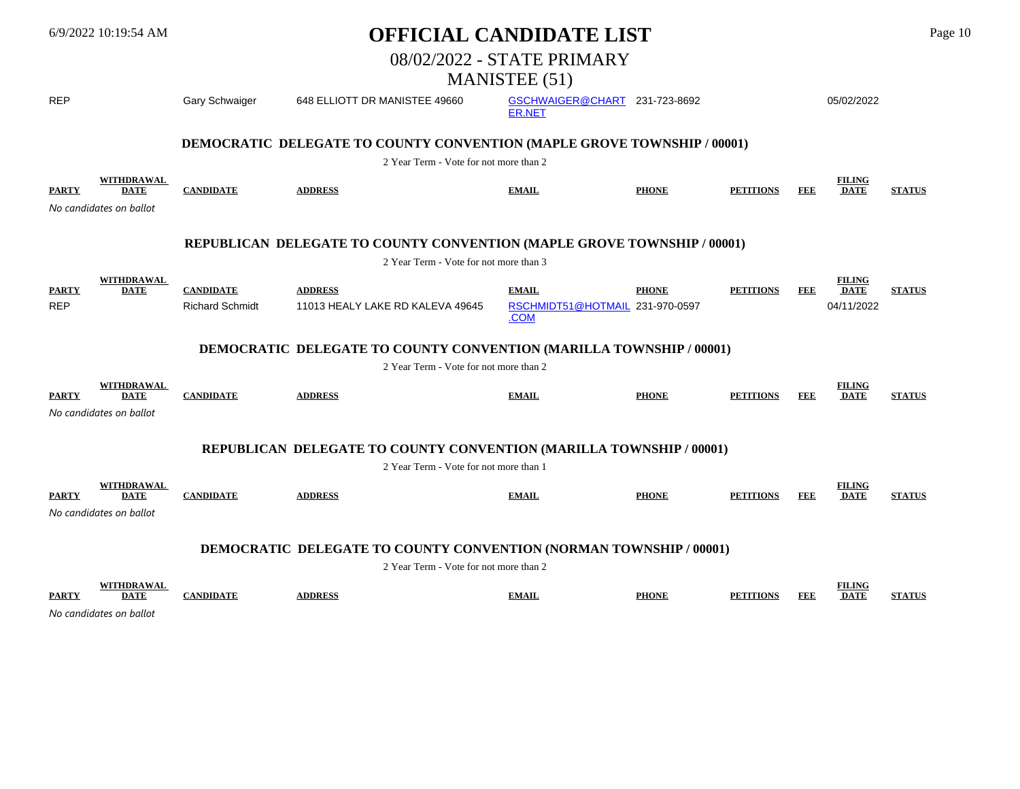|              | 6/9/2022 10:19:54 AM                                        |                        |                                                                                                                      | <b>OFFICIAL CANDIDATE LIST</b>          |              |                  |            |                              | Page 10       |
|--------------|-------------------------------------------------------------|------------------------|----------------------------------------------------------------------------------------------------------------------|-----------------------------------------|--------------|------------------|------------|------------------------------|---------------|
|              |                                                             |                        |                                                                                                                      | 08/02/2022 - STATE PRIMARY              |              |                  |            |                              |               |
|              |                                                             |                        |                                                                                                                      | <b>MANISTEE</b> (51)                    |              |                  |            |                              |               |
| <b>REP</b>   |                                                             | Gary Schwaiger         | 648 ELLIOTT DR MANISTEE 49660                                                                                        | GSCHWAIGER@CHART 231-723-8692<br>ER.NET |              |                  |            | 05/02/2022                   |               |
|              |                                                             |                        | <b>DEMOCRATIC DELEGATE TO COUNTY CONVENTION (MAPLE GROVE TOWNSHIP / 00001)</b>                                       |                                         |              |                  |            |                              |               |
|              |                                                             |                        | 2 Year Term - Vote for not more than 2                                                                               |                                         |              |                  |            |                              |               |
| <b>PARTY</b> | <b>WITHDRAWAL</b><br><b>DATE</b><br>No candidates on ballot | <b>CANDIDATE</b>       | <b>ADDRESS</b>                                                                                                       | <b>EMAIL</b>                            | <b>PHONE</b> | <b>PETITIONS</b> | <b>FEE</b> | <b>FILING</b><br><b>DATE</b> | <b>STATUS</b> |
|              |                                                             |                        | REPUBLICAN DELEGATE TO COUNTY CONVENTION (MAPLE GROVE TOWNSHIP / 00001)                                              |                                         |              |                  |            |                              |               |
|              | <b>WITHDRAWAL</b>                                           |                        | 2 Year Term - Vote for not more than 3                                                                               |                                         |              |                  |            | <b>FILING</b>                |               |
| <b>PARTY</b> | <b>DATE</b>                                                 | <b>CANDIDATE</b>       | <b>ADDRESS</b>                                                                                                       | <b>EMAIL</b>                            | <b>PHONE</b> | <b>PETITIONS</b> | FEE        | <b>DATE</b>                  | <b>STATUS</b> |
| <b>REP</b>   |                                                             | <b>Richard Schmidt</b> | 11013 HEALY LAKE RD KALEVA 49645                                                                                     | RSCHMIDT51@HOTMAIL 231-970-0597<br>.COM |              |                  |            | 04/11/2022                   |               |
|              |                                                             |                        | <b>DEMOCRATIC DELEGATE TO COUNTY CONVENTION (MARILLA TOWNSHIP / 00001)</b><br>2 Year Term - Vote for not more than 2 |                                         |              |                  |            |                              |               |
|              | <b>WITHDRAWAL</b>                                           |                        |                                                                                                                      |                                         |              |                  |            | <b>FILING</b>                |               |
| <b>PARTY</b> | <b>DATE</b><br>No candidates on ballot                      | <b>CANDIDATE</b>       | <b>ADDRESS</b>                                                                                                       | <b>EMAIL</b>                            | <b>PHONE</b> | <b>PETITIONS</b> | FEE        | <b>DATE</b>                  | <b>STATUS</b> |
|              |                                                             |                        |                                                                                                                      |                                         |              |                  |            |                              |               |
|              |                                                             |                        | REPUBLICAN DELEGATE TO COUNTY CONVENTION (MARILLA TOWNSHIP / 00001)<br>2 Year Term - Vote for not more than 1        |                                         |              |                  |            |                              |               |
|              | <b>WITHDRAWAL</b>                                           |                        |                                                                                                                      |                                         |              |                  |            | <b>FILING</b>                |               |
| <b>PARTY</b> | <b>DATE</b>                                                 | <b>CANDIDATE</b>       | <b>ADDRESS</b>                                                                                                       | <b>EMAIL</b>                            | <b>PHONE</b> | <b>PETITIONS</b> | FEE        | <b>DATE</b>                  | <b>STATUS</b> |
|              | No candidates on ballot                                     |                        |                                                                                                                      |                                         |              |                  |            |                              |               |
|              |                                                             |                        | DEMOCRATIC DELEGATE TO COUNTY CONVENTION (NORMAN TOWNSHIP / 00001)                                                   |                                         |              |                  |            |                              |               |
|              |                                                             |                        | 2 Year Term - Vote for not more than 2                                                                               |                                         |              |                  |            |                              |               |
| <b>PARTY</b> | <b>WITHDRAWAL</b><br><b>DATE</b>                            | <b>CANDIDATE</b>       | <b>ADDRESS</b>                                                                                                       | <b>EMAIL</b>                            | <b>PHONE</b> | <b>PETITIONS</b> | FEE        | <b>FILING</b><br><b>DATE</b> | <b>STATUS</b> |

*No candidates on ballot*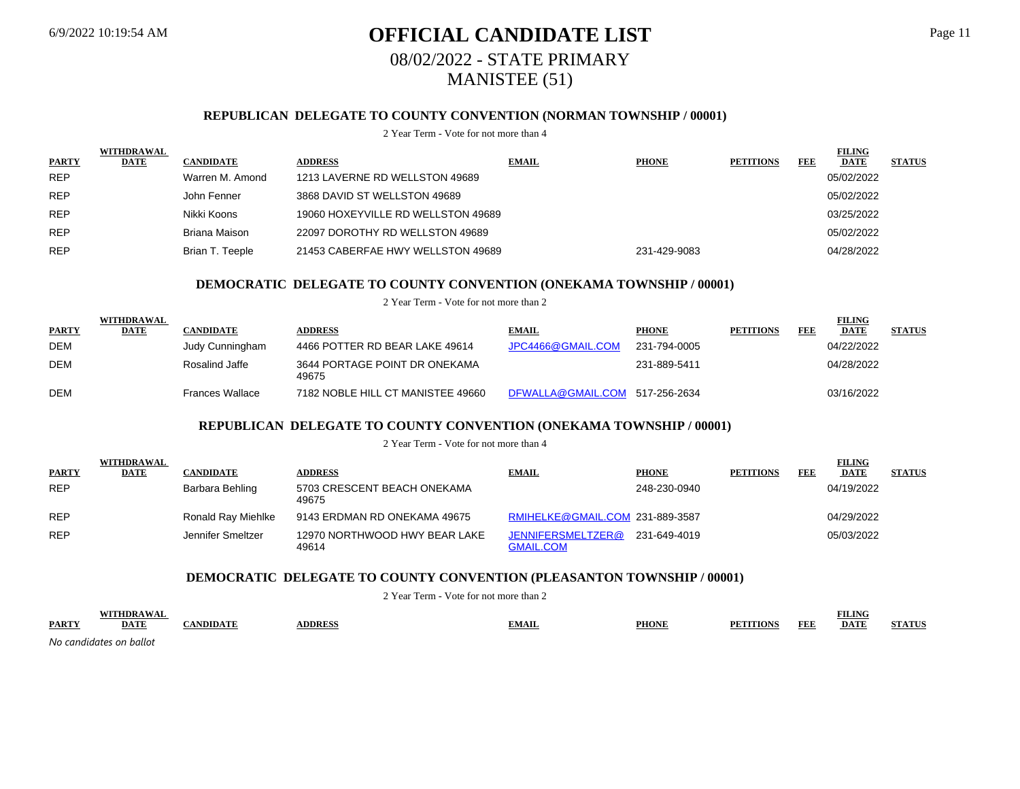WITH **WITH**  $\mathbf{W}$ 

WITH **WITH A WITH A WITH** 

## 6/9/2022 10:19:54 AM **OFFICIAL CANDIDATE LIST** Page 11 08/02/2022 - STATE PRIMARY MANISTEE (51)

## **REPUBLICAN DELEGATE TO COUNTY CONVENTION (NORMAN TOWNSHIP / 00001)**

#### 2 Year Term - Vote for not more than 4

| <b>PARTY</b> | WITHDRAWAL<br><b>DATE</b> | <b>CANDIDATE</b> | <b>ADDRESS</b>                     | <b>EMAIL</b> | <b>PHONE</b> | <b>PETITIONS</b> | FEE | <b>FILING</b><br><b>DATE</b> | <b>STATUS</b> |
|--------------|---------------------------|------------------|------------------------------------|--------------|--------------|------------------|-----|------------------------------|---------------|
| <b>REP</b>   |                           | Warren M. Amond  | 1213 LAVERNE RD WELLSTON 49689     |              |              |                  |     | 05/02/2022                   |               |
| <b>REP</b>   |                           | John Fenner      | 3868 DAVID ST WELLSTON 49689       |              |              |                  |     | 05/02/2022                   |               |
| <b>REP</b>   |                           | Nikki Koons      | 19060 HOXEYVILLE RD WELLSTON 49689 |              |              |                  |     | 03/25/2022                   |               |
| <b>REP</b>   |                           | Briana Maison    | 22097 DOROTHY RD WELLSTON 49689    |              |              |                  |     | 05/02/2022                   |               |
| <b>REP</b>   |                           | Brian T. Teeple  | 21453 CABERFAE HWY WELLSTON 49689  |              | 231-429-9083 |                  |     | 04/28/2022                   |               |

### **DEMOCRATIC DELEGATE TO COUNTY CONVENTION (ONEKAMA TOWNSHIP / 00001)**

2 Year Term - Vote for not more than 2

|              | WITHDRAWAL |                  |                                        |                                |              |                  |     | FILING      |               |
|--------------|------------|------------------|----------------------------------------|--------------------------------|--------------|------------------|-----|-------------|---------------|
| <b>PARTY</b> | DATE       | <b>CANDIDATE</b> | <b>\DDRESS</b>                         | <b>EMAIL</b>                   | <b>PHONE</b> | <b>PETITIONS</b> | FEE | <b>DATE</b> | <b>STATUS</b> |
| <b>DEM</b>   |            | Judy Cunningham  | 4466 POTTER RD BEAR LAKE 49614         | JPC4466@GMAIL.COM              | 231-794-0005 |                  |     | 04/22/2022  |               |
| <b>DEM</b>   |            | Rosalind Jaffe   | 3644 PORTAGE POINT DR ONEKAMA<br>49675 |                                | 231-889-5411 |                  |     | 04/28/2022  |               |
| <b>DEM</b>   |            | Frances Wallace  | 7182 NOBLE HILL CT MANISTEE 49660      | DFWALLA@GMAIL.COM 517-256-2634 |              |                  |     | 03/16/2022  |               |

## **REPUBLICAN DELEGATE TO COUNTY CONVENTION (ONEKAMA TOWNSHIP / 00001)**

2 Year Term - Vote for not more than 4

|              | WITHDRAWAL  |                    |                                        |                                       |              |                  |     | <u>FILING</u> |               |
|--------------|-------------|--------------------|----------------------------------------|---------------------------------------|--------------|------------------|-----|---------------|---------------|
| <b>PARTY</b> | <b>DATE</b> | <b>CANDIDATE</b>   | <b>ADDRESS</b>                         | <b>EMAIL</b>                          | <b>PHONE</b> | <b>PETITIONS</b> | FEE | <b>DATE</b>   | <b>STATUS</b> |
| <b>REP</b>   |             | Barbara Behling    | 5703 CRESCENT BEACH ONEKAMA<br>49675   |                                       | 248-230-0940 |                  |     | 04/19/2022    |               |
| <b>REP</b>   |             | Ronald Ray Miehlke | 9143 ERDMAN RD ONEKAMA 49675           | RMIHELKE@GMAIL.COM 231-889-3587       |              |                  |     | 04/29/2022    |               |
| <b>REP</b>   |             | Jennifer Smeltzer  | 12970 NORTHWOOD HWY BEAR LAKE<br>49614 | JENNIFERSMELTZER@<br><b>GMAIL.COM</b> | 231-649-4019 |                  |     | 05/03/2022    |               |

## **DEMOCRATIC DELEGATE TO COUNTY CONVENTION (PLEASANTON TOWNSHIP / 00001)**

2 Year Term - Vote for not more than 2

|             | IIND. |     |               |      |              |                       | <b>FILING</b> |  |
|-------------|-------|-----|---------------|------|--------------|-----------------------|---------------|--|
| <b>PART</b> |       | vnm | <b>DDDECG</b> | MAIL | <b>PHONE</b> | E E L<br>nno<br>1 D.I | DATF          |  |
| .           |       |     |               |      |              |                       |               |  |

*No candidates on ballot*

**FILING FILING** 

**FILING**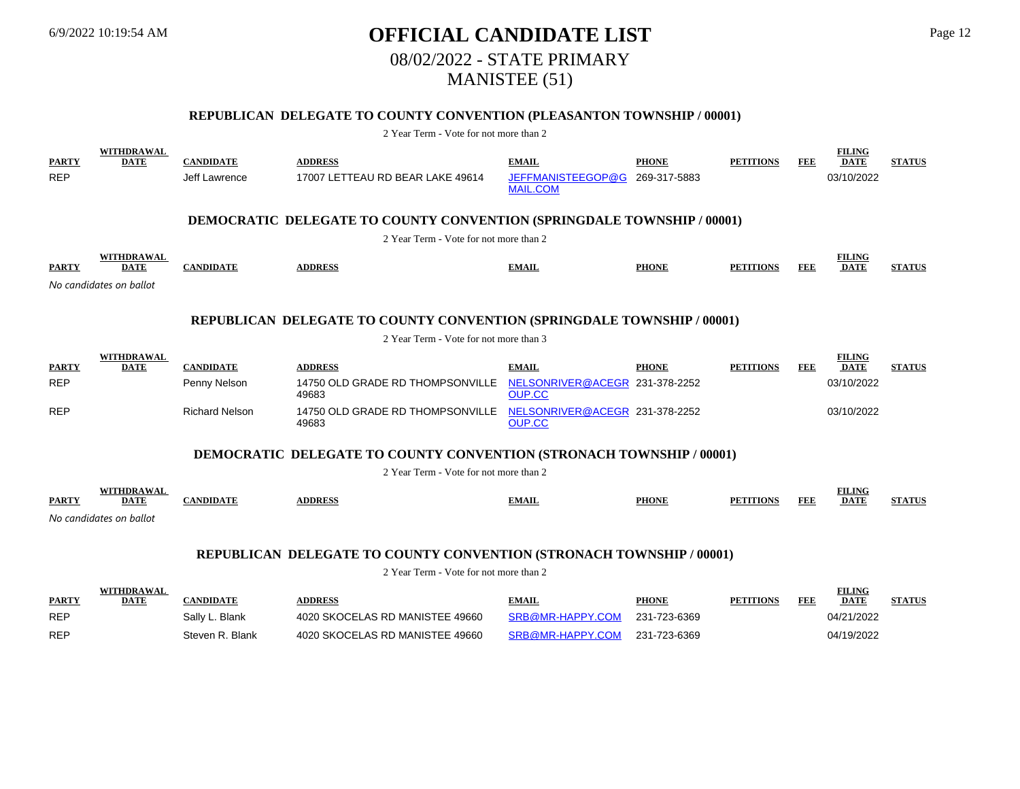## 6/9/2022 10:19:54 AM **OFFICIAL CANDIDATE LIST** Page 12 08/02/2022 - STATE PRIMARY MANISTEE (51)

## **REPUBLICAN DELEGATE TO COUNTY CONVENTION (PLEASANTON TOWNSHIP / 00001)**

#### 2 Year Term - Vote for not more than 2

| <b>PARTY</b><br><b>REP</b>                                                                                                       | <b>WITHDRAWAL</b><br><b>DATE</b> | <b>CANDIDATE</b><br>Jeff Lawrence | <b>ADDRESS</b><br>17007 LETTEAU RD BEAR LAKE 49614                            | <b>EMAIL</b><br>JEFFMANISTEEGOP@G<br><b>MAIL.COM</b> | <b>PHONE</b><br>269-317-5883 | <b>PETITIONS</b> | FEE        | <b>FILING</b><br><b>DATE</b><br>03/10/2022 | <b>STATUS</b> |
|----------------------------------------------------------------------------------------------------------------------------------|----------------------------------|-----------------------------------|-------------------------------------------------------------------------------|------------------------------------------------------|------------------------------|------------------|------------|--------------------------------------------|---------------|
|                                                                                                                                  |                                  |                                   | <b>DEMOCRATIC DELEGATE TO COUNTY CONVENTION (SPRINGDALE TOWNSHIP / 00001)</b> |                                                      |                              |                  |            |                                            |               |
|                                                                                                                                  |                                  |                                   | 2 Year Term - Vote for not more than 2                                        |                                                      |                              |                  |            |                                            |               |
| <b>PARTY</b>                                                                                                                     | WITHDRAWAL<br><b>DATE</b>        | <b>CANDIDATE</b>                  | <b>ADDRESS</b>                                                                | <b>EMAIL</b>                                         | <b>PHONE</b>                 | <b>PETITIONS</b> | <b>FEE</b> | <b>FILING</b><br><b>DATE</b>               | <b>STATUS</b> |
|                                                                                                                                  | No candidates on ballot          |                                   |                                                                               |                                                      |                              |                  |            |                                            |               |
| <b>REPUBLICAN DELEGATE TO COUNTY CONVENTION (SPRINGDALE TOWNSHIP / 00001)</b>                                                    |                                  |                                   |                                                                               |                                                      |                              |                  |            |                                            |               |
|                                                                                                                                  |                                  |                                   | 2 Year Term - Vote for not more than 3                                        |                                                      |                              |                  |            |                                            |               |
| <b>PARTY</b>                                                                                                                     | <b>WITHDRAWAL</b><br><b>DATE</b> | <b>CANDIDATE</b>                  | <b>ADDRESS</b>                                                                | <b>EMAIL</b>                                         | <b>PHONE</b>                 | <b>PETITIONS</b> | <b>FEE</b> | <b>FILING</b><br><b>DATE</b>               | <b>STATUS</b> |
| <b>REP</b>                                                                                                                       |                                  | Penny Nelson                      | 14750 OLD GRADE RD THOMPSONVILLE<br>49683                                     | NELSONRIVER@ACEGR 231-378-2252<br><b>OUP.CC</b>      |                              |                  |            | 03/10/2022                                 |               |
| <b>REP</b>                                                                                                                       |                                  | <b>Richard Nelson</b>             | 14750 OLD GRADE RD THOMPSONVILLE<br>49683                                     | NELSONRIVER@ACEGR 231-378-2252<br><b>OUP.CC</b>      |                              |                  |            | 03/10/2022                                 |               |
|                                                                                                                                  |                                  |                                   | <b>DEMOCRATIC DELEGATE TO COUNTY CONVENTION (STRONACH TOWNSHIP / 00001)</b>   |                                                      |                              |                  |            |                                            |               |
|                                                                                                                                  |                                  |                                   | 2 Year Term - Vote for not more than 2                                        |                                                      |                              |                  |            |                                            |               |
| <b>PARTY</b>                                                                                                                     | <b>WITHDRAWAL</b><br><b>DATE</b> | <b>CANDIDATE</b>                  | <b>ADDRESS</b>                                                                | <b>EMAIL</b>                                         | <b>PHONE</b>                 | <b>PETITIONS</b> | <b>FEE</b> | <b>FILING</b><br><b>DATE</b>               | <b>STATUS</b> |
|                                                                                                                                  | No candidates on ballot          |                                   |                                                                               |                                                      |                              |                  |            |                                            |               |
| <b>REPUBLICAN DELEGATE TO COUNTY CONVENTION (STRONACH TOWNSHIP / 00001)</b><br>$\alpha$ is the state of $\alpha$ is the $\alpha$ |                                  |                                   |                                                                               |                                                      |                              |                  |            |                                            |               |

|              | WITHDRAWAL  | <b>ANDIDATE</b> |                                 |                  |              | <b>PETITIONS</b> |     | FILING      |               |
|--------------|-------------|-----------------|---------------------------------|------------------|--------------|------------------|-----|-------------|---------------|
| <b>PARTY</b> | <b>DATE</b> |                 | <b>\DDRESS</b>                  | <b>EMAIL</b>     | <b>PHONE</b> |                  | FEF | <b>DATE</b> | <b>STATUS</b> |
| <b>REP</b>   |             | Sally L. Blank  | 4020 SKOCELAS RD MANISTEE 49660 | SRB@MR-HAPPY.COM | 231-723-6369 |                  |     | 04/21/2022  |               |
| <b>REP</b>   |             | Steven R. Blank | 4020 SKOCELAS RD MANISTEE 49660 | SRB@MR-HAPPY.COM | 231-723-6369 |                  |     | 04/19/2022  |               |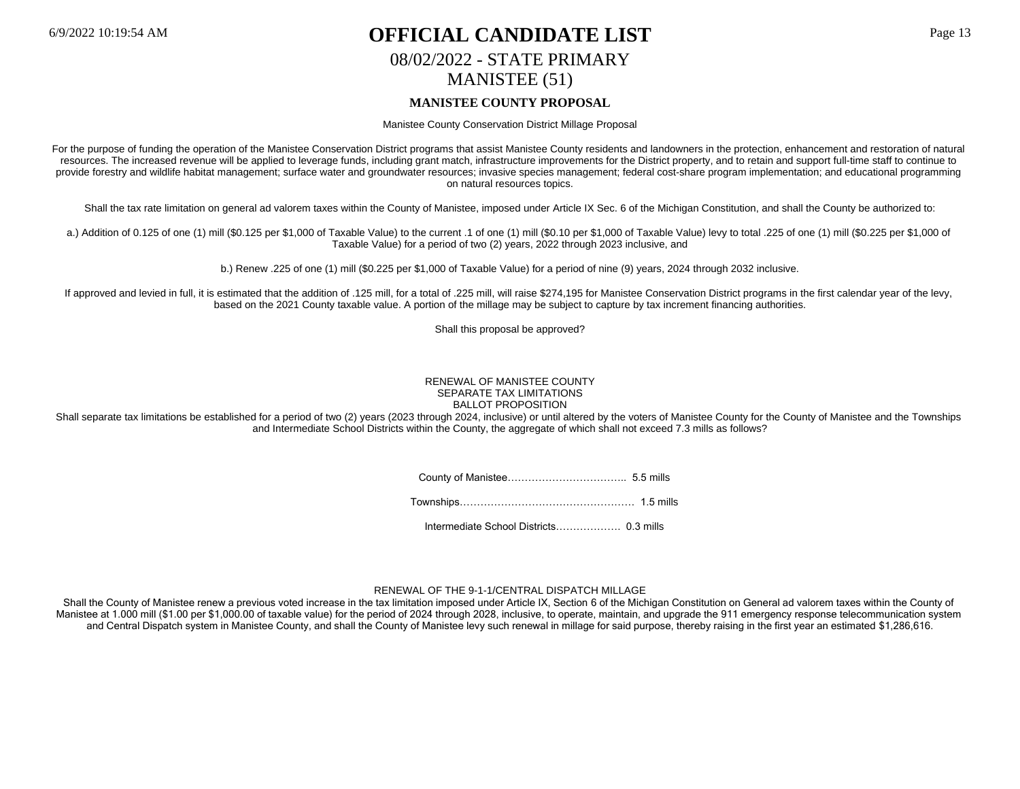## 6/9/2022 10:19:54 AM **OFFICIAL CANDIDATE LIST** Page 13 08/02/2022 - STATE PRIMARY MANISTEE (51) **MANISTEE COUNTY PROPOSAL**

Manistee County Conservation District Millage Proposal

For the purpose of funding the operation of the Manistee Conservation District programs that assist Manistee County residents and landowners in the protection, enhancement and restoration of natural resources. The increased revenue will be applied to leverage funds, including grant match, infrastructure improvements for the District property, and to retain and support full-time staff to continue to provide forestry and wildlife habitat management; surface water and groundwater resources; invasive species management; federal cost-share program implementation; and educational programming on natural resources topics.

Shall the tax rate limitation on general ad valorem taxes within the County of Manistee, imposed under Article IX Sec. 6 of the Michigan Constitution, and shall the County be authorized to:

a.) Addition of 0.125 of one (1) mill (\$0.125 per \$1,000 of Taxable Value) to the current .1 of one (1) mill (\$0.10 per \$1,000 of Taxable Value) levy to total .225 of one (1) mill (\$0.225 per \$1,000 of Taxable Value) for a period of two (2) years, 2022 through 2023 inclusive, and

b.) Renew .225 of one (1) mill (\$0.225 per \$1,000 of Taxable Value) for a period of nine (9) years, 2024 through 2032 inclusive.

If approved and levied in full, it is estimated that the addition of .125 mill, for a total of .225 mill, will raise \$274,195 for Manistee Conservation District programs in the first calendar year of the levy, based on the 2021 County taxable value. A portion of the millage may be subject to capture by tax increment financing authorities.

Shall this proposal be approved?

#### RENEWAL OF MANISTEE COUNTY SEPARATE TAX LIMITATIONS BALLOT PROPOSITION

Shall separate tax limitations be established for a period of two (2) years (2023 through 2024, inclusive) or until altered by the voters of Manistee County for the County of Manistee and the Townships and Intermediate School Districts within the County, the aggregate of which shall not exceed 7.3 mills as follows?

County of Manistee…………………………….. 5.5 mills

Townships…………………………………………… 1.5 mills

Intermediate School Districts………………. 0.3 mills

#### RENEWAL OF THE 9-1-1/CENTRAL DISPATCH MILLAGE

Shall the County of Manistee renew a previous voted increase in the tax limitation imposed under Article IX, Section 6 of the Michigan Constitution on General ad valorem taxes within the County of Manistee at 1.000 mill (\$1.00 per \$1,000.00 of taxable value) for the period of 2024 through 2028, inclusive, to operate, maintain, and upgrade the 911 emergency response telecommunication system and Central Dispatch system in Manistee County, and shall the County of Manistee levy such renewal in millage for said purpose, thereby raising in the first year an estimated \$1,286,616.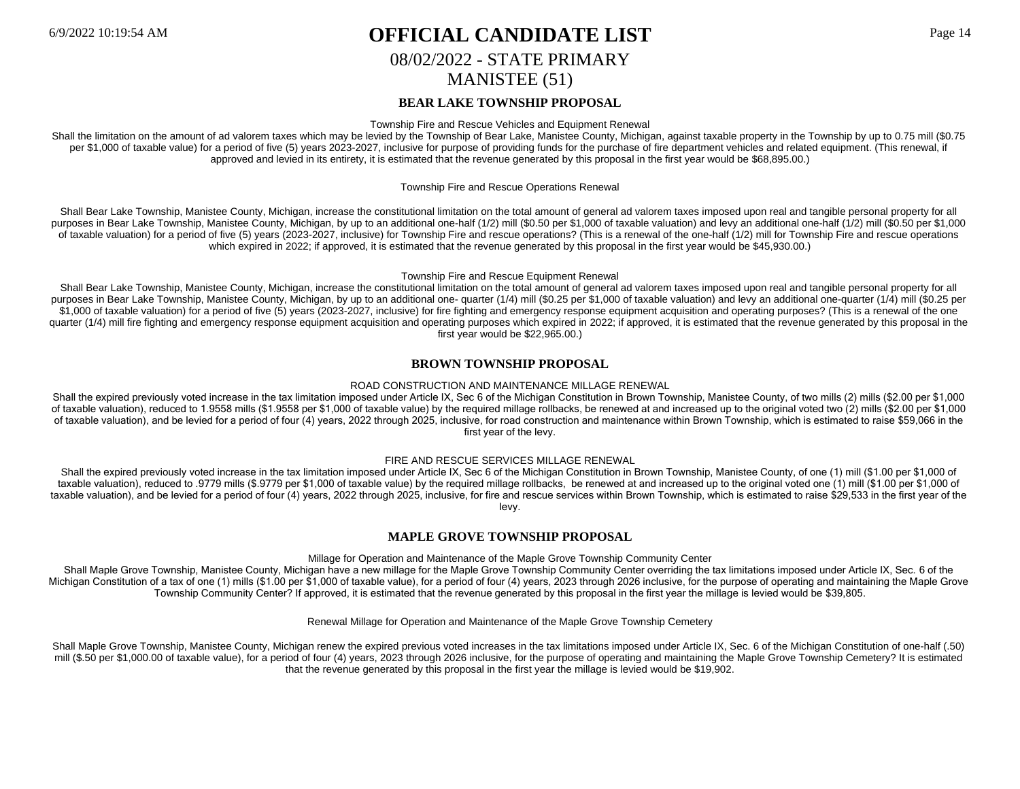## 6/9/2022 10:19:54 AM **OFFICIAL CANDIDATE LIST** Page 14 08/02/2022 - STATE PRIMARY MANISTEE (51)

## **BEAR LAKE TOWNSHIP PROPOSAL**

Township Fire and Rescue Vehicles and Equipment Renewal

Shall the limitation on the amount of ad valorem taxes which may be levied by the Township of Bear Lake, Manistee County, Michigan, against taxable property in the Township by up to 0.75 mill (\$0.75 per \$1,000 of taxable value) for a period of five (5) years 2023-2027, inclusive for purpose of providing funds for the purchase of fire department vehicles and related equipment. (This renewal, if approved and levied in its entirety, it is estimated that the revenue generated by this proposal in the first year would be \$68,895.00.)

#### Township Fire and Rescue Operations Renewal

Shall Bear Lake Township, Manistee County, Michigan, increase the constitutional limitation on the total amount of general ad valorem taxes imposed upon real and tangible personal property for all purposes in Bear Lake Township, Manistee County, Michigan, by up to an additional one-half (1/2) mill (\$0.50 per \$1,000 of taxable valuation) and levy an additional one-half (1/2) mill (\$0.50 per \$1,000 of taxable valuation) for a period of five (5) years (2023-2027, inclusive) for Township Fire and rescue operations? (This is a renewal of the one-half (1/2) mill for Township Fire and rescue operations which expired in 2022; if approved, it is estimated that the revenue generated by this proposal in the first year would be \$45,930.00.)

#### Township Fire and Rescue Equipment Renewal

Shall Bear Lake Township, Manistee County, Michigan, increase the constitutional limitation on the total amount of general ad valorem taxes imposed upon real and tangible personal property for all purposes in Bear Lake Township, Manistee County, Michigan, by up to an additional one- quarter (1/4) mill (\$0.25 per \$1,000 of taxable valuation) and levy an additional one-quarter (1/4) mill (\$0.25 per \$1,000 of taxable valuation) for a period of five (5) years (2023-2027, inclusive) for fire fighting and emergency response equipment acquisition and operating purposes? (This is a renewal of the one quarter (1/4) mill fire fighting and emergency response equipment acquisition and operating purposes which expired in 2022; if approved, it is estimated that the revenue generated by this proposal in the first year would be \$22,965.00.)

### **BROWN TOWNSHIP PROPOSAL**

#### ROAD CONSTRUCTION AND MAINTENANCE MILLAGE RENEWAL

Shall the expired previously voted increase in the tax limitation imposed under Article IX, Sec 6 of the Michigan Constitution in Brown Township, Manistee County, of two mills (2) mills (\$2.00 per \$1,000 of taxable valuation), reduced to 1.9558 mills (\$1.9558 per \$1,000 of taxable value) by the required millage rollbacks, be renewed at and increased up to the original voted two (2) mills (\$2.00 per \$1,000 of taxable valuation), and be levied for a period of four (4) years, 2022 through 2025, inclusive, for road construction and maintenance within Brown Township, which is estimated to raise \$59,066 in the first year of the levy.

#### FIRE AND RESCUE SERVICES MILLAGE RENEWAL

Shall the expired previously voted increase in the tax limitation imposed under Article IX, Sec 6 of the Michigan Constitution in Brown Township, Manistee County, of one (1) mill (\$1.00 per \$1.000 of taxable valuation), reduced to .9779 mills (\$.9779 per \$1,000 of taxable value) by the required millage rollbacks, be renewed at and increased up to the original voted one (1) mill (\$1.00 per \$1,000 of taxable valuation), and be levied for a period of four (4) years, 2022 through 2025, inclusive, for fire and rescue services within Brown Township, which is estimated to raise \$29,533 in the first year of the levy.

### **MAPLE GROVE TOWNSHIP PROPOSAL**

#### Millage for Operation and Maintenance of the Maple Grove Township Community Center

Shall Maple Grove Township, Manistee County, Michigan have a new millage for the Maple Grove Township Community Center overriding the tax limitations imposed under Article IX, Sec. 6 of the Michigan Constitution of a tax of one (1) mills (\$1.00 per \$1,000 of taxable value), for a period of four (4) years, 2023 through 2026 inclusive, for the purpose of operating and maintaining the Maple Grove Township Community Center? If approved, it is estimated that the revenue generated by this proposal in the first year the millage is levied would be \$39,805.

Renewal Millage for Operation and Maintenance of the Maple Grove Township Cemetery

Shall Maple Grove Township, Manistee County, Michigan renew the expired previous voted increases in the tax limitations imposed under Article IX, Sec. 6 of the Michigan Constitution of one-half (.50) mill (\$.50 per \$1,000.00 of taxable value), for a period of four (4) years, 2023 through 2026 inclusive, for the purpose of operating and maintaining the Maple Grove Township Cemetery? It is estimated that the revenue generated by this proposal in the first year the millage is levied would be \$19,902.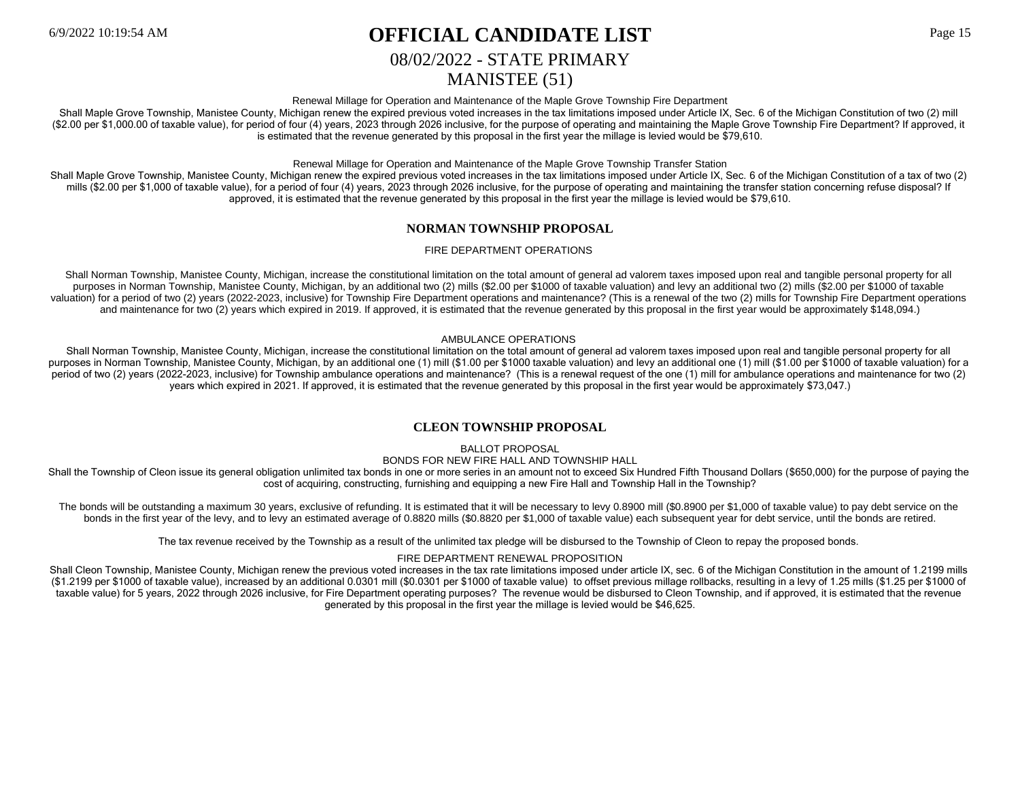## 6/9/2022 10:19:54 AM **OFFICIAL CANDIDATE LIST** Page 15

## 08/02/2022 - STATE PRIMARY

## MANISTEE (51)

Renewal Millage for Operation and Maintenance of the Maple Grove Township Fire Department

Shall Maple Grove Township, Manistee County, Michigan renew the expired previous voted increases in the tax limitations imposed under Article IX, Sec. 6 of the Michigan Constitution of two (2) mill (\$2.00 per \$1,000.00 of taxable value), for period of four (4) years, 2023 through 2026 inclusive, for the purpose of operating and maintaining the Maple Grove Township Fire Department? If approved, it is estimated that the revenue generated by this proposal in the first year the millage is levied would be \$79,610.

Renewal Millage for Operation and Maintenance of the Maple Grove Township Transfer Station

Shall Maple Grove Township, Manistee County, Michigan renew the expired previous voted increases in the tax limitations imposed under Article IX, Sec. 6 of the Michigan Constitution of a tax of two (2) mills (\$2.00 per \$1,000 of taxable value), for a period of four (4) years, 2023 through 2026 inclusive, for the purpose of operating and maintaining the transfer station concerning refuse disposal? If approved, it is estimated that the revenue generated by this proposal in the first year the millage is levied would be \$79,610.

## **NORMAN TOWNSHIP PROPOSAL**

### FIRE DEPARTMENT OPERATIONS

Shall Norman Township, Manistee County, Michigan, increase the constitutional limitation on the total amount of general ad valorem taxes imposed upon real and tangible personal property for all purposes in Norman Township, Manistee County, Michigan, by an additional two (2) mills (\$2.00 per \$1000 of taxable valuation) and levy an additional two (2) mills (\$2.00 per \$1000 of taxable valuation) for a period of two (2) years (2022-2023, inclusive) for Township Fire Department operations and maintenance? (This is a renewal of the two (2) mills for Township Fire Department operations and maintenance for two (2) years which expired in 2019. If approved, it is estimated that the revenue generated by this proposal in the first year would be approximately \$148,094.)

### AMBULANCE OPERATIONS

Shall Norman Township, Manistee County, Michigan, increase the constitutional limitation on the total amount of general ad valorem taxes imposed upon real and tangible personal property for all purposes in Norman Township, Manistee County, Michigan, by an additional one (1) mill (\$1.00 per \$1000 taxable valuation) and levy an additional one (1) mill (\$1.00 per \$1000 of taxable valuation) for a period of two (2) years (2022-2023, inclusive) for Township ambulance operations and maintenance? (This is a renewal request of the one (1) mill for ambulance operations and maintenance for two (2) years which expired in 2021. If approved, it is estimated that the revenue generated by this proposal in the first year would be approximately \$73,047.)

## **CLEON TOWNSHIP PROPOSAL**

BALLOT PROPOSAL

BONDS FOR NEW FIRE HALL AND TOWNSHIP HALL

Shall the Township of Cleon issue its general obligation unlimited tax bonds in one or more series in an amount not to exceed Six Hundred Fifth Thousand Dollars (\$650,000) for the purpose of paying the cost of acquiring, constructing, furnishing and equipping a new Fire Hall and Township Hall in the Township?

The bonds will be outstanding a maximum 30 years, exclusive of refunding. It is estimated that it will be necessary to levy 0.8900 mill (\$0.8900 per \$1,000 of taxable value) to pay debt service on the bonds in the first year of the levy, and to levy an estimated average of 0.8820 mills (\$0.8820 per \$1,000 of taxable value) each subsequent year for debt service, until the bonds are retired.

The tax revenue received by the Township as a result of the unlimited tax pledge will be disbursed to the Township of Cleon to repay the proposed bonds.

### FIRE DEPARTMENT RENEWAL PROPOSITION

Shall Cleon Township, Manistee County, Michigan renew the previous voted increases in the tax rate limitations imposed under article IX, sec. 6 of the Michigan Constitution in the amount of 1.2199 mills (\$1.2199 per \$1000 of taxable value), increased by an additional 0.0301 mill (\$0.0301 per \$1000 of taxable value) to offset previous millage rollbacks, resulting in a levy of 1.25 mills (\$1.25 per \$1000 of taxable value) for 5 years, 2022 through 2026 inclusive, for Fire Department operating purposes? The revenue would be disbursed to Cleon Township, and if approved, it is estimated that the revenue generated by this proposal in the first year the millage is levied would be \$46,625.